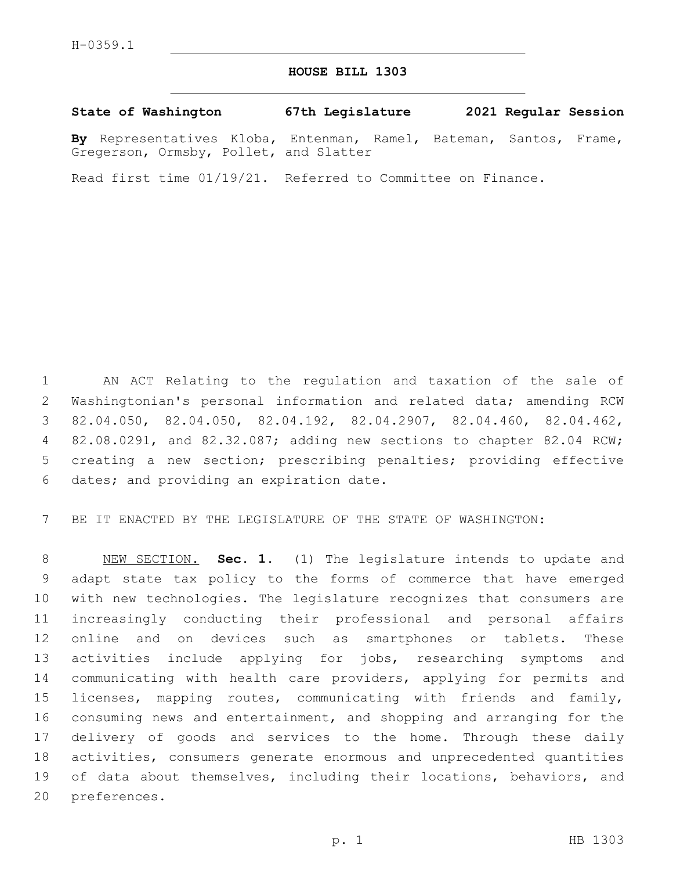## **HOUSE BILL 1303**

**State of Washington 67th Legislature 2021 Regular Session**

**By** Representatives Kloba, Entenman, Ramel, Bateman, Santos, Frame, Gregerson, Ormsby, Pollet, and Slatter

Read first time 01/19/21. Referred to Committee on Finance.

 AN ACT Relating to the regulation and taxation of the sale of Washingtonian's personal information and related data; amending RCW 82.04.050, 82.04.050, 82.04.192, 82.04.2907, 82.04.460, 82.04.462, 82.08.0291, and 82.32.087; adding new sections to chapter 82.04 RCW; creating a new section; prescribing penalties; providing effective 6 dates; and providing an expiration date.

BE IT ENACTED BY THE LEGISLATURE OF THE STATE OF WASHINGTON:

 NEW SECTION. **Sec. 1.** (1) The legislature intends to update and adapt state tax policy to the forms of commerce that have emerged with new technologies. The legislature recognizes that consumers are increasingly conducting their professional and personal affairs online and on devices such as smartphones or tablets. These activities include applying for jobs, researching symptoms and communicating with health care providers, applying for permits and licenses, mapping routes, communicating with friends and family, consuming news and entertainment, and shopping and arranging for the delivery of goods and services to the home. Through these daily activities, consumers generate enormous and unprecedented quantities of data about themselves, including their locations, behaviors, and preferences.

p. 1 HB 1303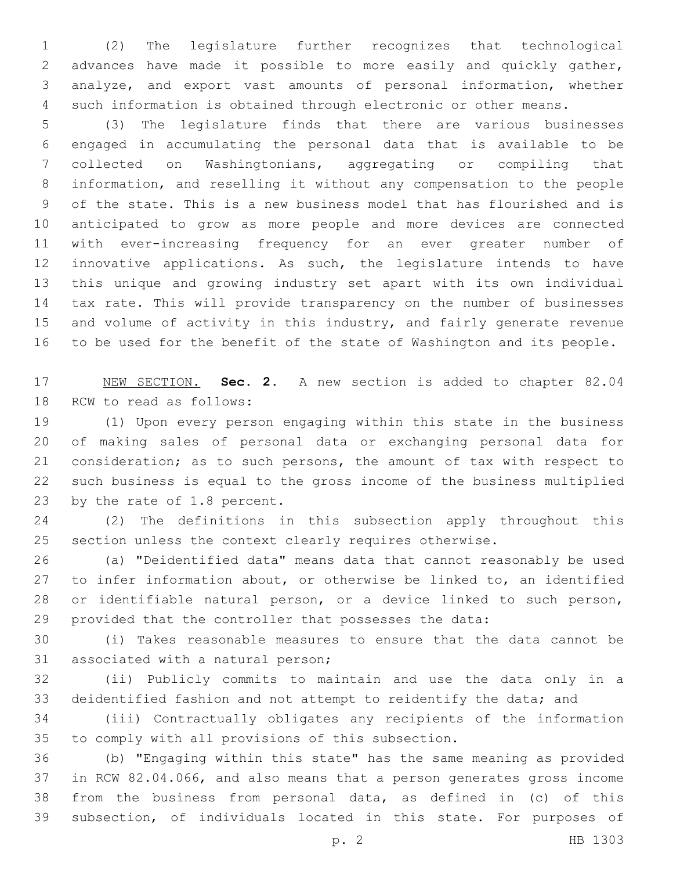(2) The legislature further recognizes that technological advances have made it possible to more easily and quickly gather, analyze, and export vast amounts of personal information, whether such information is obtained through electronic or other means.

 (3) The legislature finds that there are various businesses engaged in accumulating the personal data that is available to be collected on Washingtonians, aggregating or compiling that information, and reselling it without any compensation to the people of the state. This is a new business model that has flourished and is anticipated to grow as more people and more devices are connected with ever-increasing frequency for an ever greater number of innovative applications. As such, the legislature intends to have this unique and growing industry set apart with its own individual tax rate. This will provide transparency on the number of businesses and volume of activity in this industry, and fairly generate revenue to be used for the benefit of the state of Washington and its people.

 NEW SECTION. **Sec. 2.** A new section is added to chapter 82.04 18 RCW to read as follows:

 (1) Upon every person engaging within this state in the business of making sales of personal data or exchanging personal data for consideration; as to such persons, the amount of tax with respect to such business is equal to the gross income of the business multiplied 23 by the rate of 1.8 percent.

 (2) The definitions in this subsection apply throughout this section unless the context clearly requires otherwise.

 (a) "Deidentified data" means data that cannot reasonably be used to infer information about, or otherwise be linked to, an identified or identifiable natural person, or a device linked to such person, provided that the controller that possesses the data:

 (i) Takes reasonable measures to ensure that the data cannot be 31 associated with a natural person;

 (ii) Publicly commits to maintain and use the data only in a deidentified fashion and not attempt to reidentify the data; and

 (iii) Contractually obligates any recipients of the information 35 to comply with all provisions of this subsection.

 (b) "Engaging within this state" has the same meaning as provided in RCW 82.04.066, and also means that a person generates gross income from the business from personal data, as defined in (c) of this subsection, of individuals located in this state. For purposes of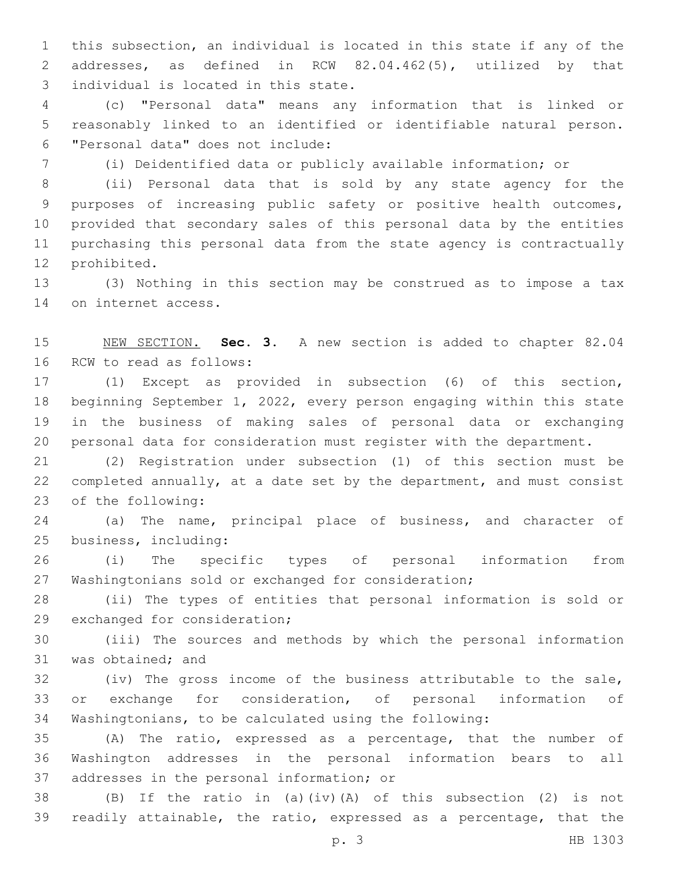this subsection, an individual is located in this state if any of the addresses, as defined in RCW 82.04.462(5), utilized by that 3 individual is located in this state.

 (c) "Personal data" means any information that is linked or reasonably linked to an identified or identifiable natural person. "Personal data" does not include:6

(i) Deidentified data or publicly available information; or

 (ii) Personal data that is sold by any state agency for the purposes of increasing public safety or positive health outcomes, provided that secondary sales of this personal data by the entities purchasing this personal data from the state agency is contractually 12 prohibited.

 (3) Nothing in this section may be construed as to impose a tax 14 on internet access.

 NEW SECTION. **Sec. 3.** A new section is added to chapter 82.04 16 RCW to read as follows:

 (1) Except as provided in subsection (6) of this section, beginning September 1, 2022, every person engaging within this state in the business of making sales of personal data or exchanging personal data for consideration must register with the department.

 (2) Registration under subsection (1) of this section must be completed annually, at a date set by the department, and must consist 23 of the following:

 (a) The name, principal place of business, and character of business, including:25

 (i) The specific types of personal information from Washingtonians sold or exchanged for consideration;

 (ii) The types of entities that personal information is sold or 29 exchanged for consideration;

 (iii) The sources and methods by which the personal information 31 was obtained; and

 (iv) The gross income of the business attributable to the sale, or exchange for consideration, of personal information of Washingtonians, to be calculated using the following:

 (A) The ratio, expressed as a percentage, that the number of Washington addresses in the personal information bears to all 37 addresses in the personal information; or

 (B) If the ratio in (a)(iv)(A) of this subsection (2) is not readily attainable, the ratio, expressed as a percentage, that the

p. 3 HB 1303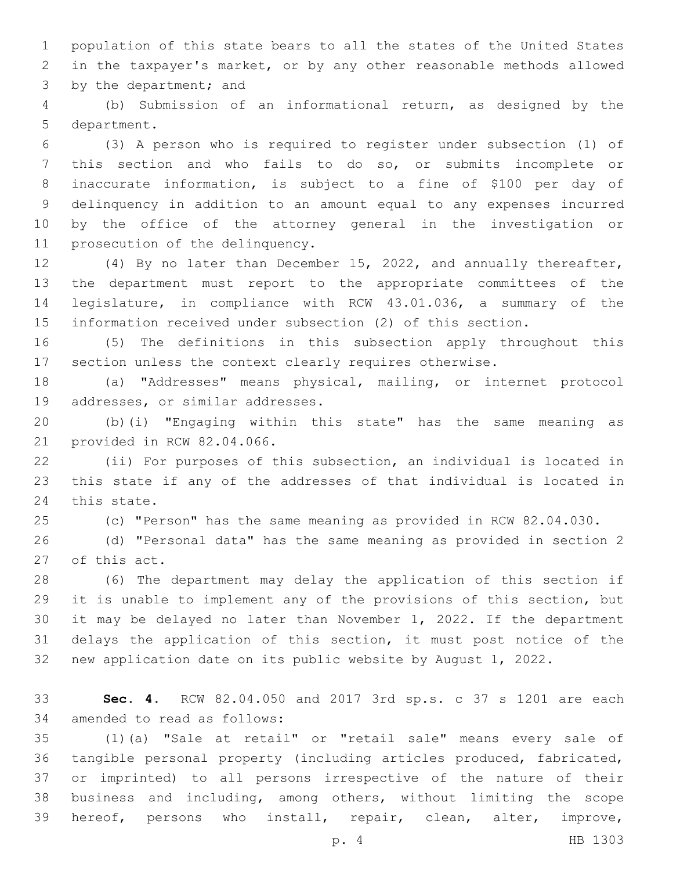population of this state bears to all the states of the United States in the taxpayer's market, or by any other reasonable methods allowed 3 by the department; and

 (b) Submission of an informational return, as designed by the 5 department.

 (3) A person who is required to register under subsection (1) of this section and who fails to do so, or submits incomplete or inaccurate information, is subject to a fine of \$100 per day of delinquency in addition to an amount equal to any expenses incurred by the office of the attorney general in the investigation or 11 prosecution of the delinquency.

 (4) By no later than December 15, 2022, and annually thereafter, the department must report to the appropriate committees of the legislature, in compliance with RCW 43.01.036, a summary of the information received under subsection (2) of this section.

 (5) The definitions in this subsection apply throughout this section unless the context clearly requires otherwise.

 (a) "Addresses" means physical, mailing, or internet protocol 19 addresses, or similar addresses.

 (b)(i) "Engaging within this state" has the same meaning as 21 provided in RCW 82.04.066.

 (ii) For purposes of this subsection, an individual is located in this state if any of the addresses of that individual is located in 24 this state.

(c) "Person" has the same meaning as provided in RCW 82.04.030.

 (d) "Personal data" has the same meaning as provided in section 2 27 of this act.

 (6) The department may delay the application of this section if it is unable to implement any of the provisions of this section, but it may be delayed no later than November 1, 2022. If the department delays the application of this section, it must post notice of the new application date on its public website by August 1, 2022.

 **Sec. 4.** RCW 82.04.050 and 2017 3rd sp.s. c 37 s 1201 are each 34 amended to read as follows:

 (1)(a) "Sale at retail" or "retail sale" means every sale of tangible personal property (including articles produced, fabricated, or imprinted) to all persons irrespective of the nature of their business and including, among others, without limiting the scope hereof, persons who install, repair, clean, alter, improve,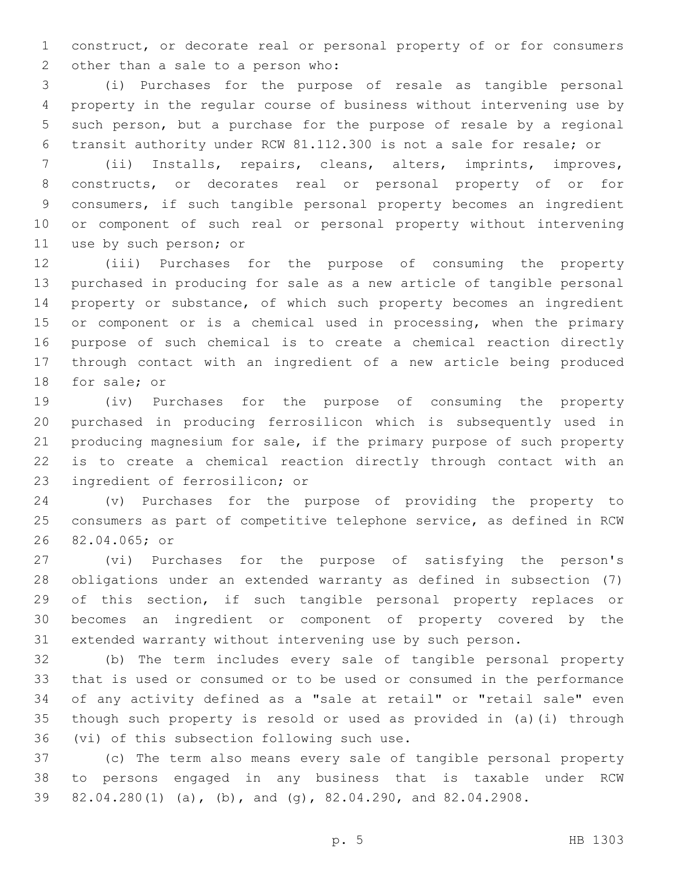construct, or decorate real or personal property of or for consumers 2 other than a sale to a person who:

 (i) Purchases for the purpose of resale as tangible personal property in the regular course of business without intervening use by such person, but a purchase for the purpose of resale by a regional transit authority under RCW 81.112.300 is not a sale for resale; or

 (ii) Installs, repairs, cleans, alters, imprints, improves, constructs, or decorates real or personal property of or for consumers, if such tangible personal property becomes an ingredient or component of such real or personal property without intervening 11 use by such person; or

 (iii) Purchases for the purpose of consuming the property purchased in producing for sale as a new article of tangible personal property or substance, of which such property becomes an ingredient 15 or component or is a chemical used in processing, when the primary purpose of such chemical is to create a chemical reaction directly through contact with an ingredient of a new article being produced 18 for sale; or

 (iv) Purchases for the purpose of consuming the property purchased in producing ferrosilicon which is subsequently used in producing magnesium for sale, if the primary purpose of such property is to create a chemical reaction directly through contact with an 23 ingredient of ferrosilicon; or

 (v) Purchases for the purpose of providing the property to consumers as part of competitive telephone service, as defined in RCW 26 82.04.065; or

 (vi) Purchases for the purpose of satisfying the person's obligations under an extended warranty as defined in subsection (7) of this section, if such tangible personal property replaces or becomes an ingredient or component of property covered by the extended warranty without intervening use by such person.

 (b) The term includes every sale of tangible personal property that is used or consumed or to be used or consumed in the performance of any activity defined as a "sale at retail" or "retail sale" even though such property is resold or used as provided in (a)(i) through 36 (vi) of this subsection following such use.

 (c) The term also means every sale of tangible personal property to persons engaged in any business that is taxable under RCW 82.04.280(1) (a), (b), and (g), 82.04.290, and 82.04.2908.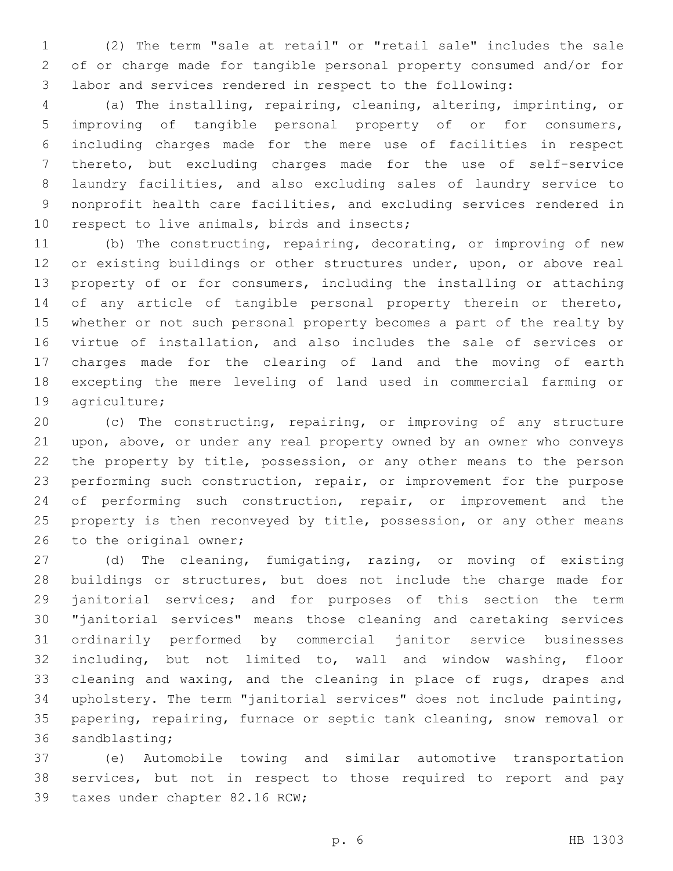(2) The term "sale at retail" or "retail sale" includes the sale of or charge made for tangible personal property consumed and/or for labor and services rendered in respect to the following:

 (a) The installing, repairing, cleaning, altering, imprinting, or improving of tangible personal property of or for consumers, including charges made for the mere use of facilities in respect thereto, but excluding charges made for the use of self-service laundry facilities, and also excluding sales of laundry service to nonprofit health care facilities, and excluding services rendered in 10 respect to live animals, birds and insects;

 (b) The constructing, repairing, decorating, or improving of new 12 or existing buildings or other structures under, upon, or above real property of or for consumers, including the installing or attaching of any article of tangible personal property therein or thereto, whether or not such personal property becomes a part of the realty by virtue of installation, and also includes the sale of services or charges made for the clearing of land and the moving of earth excepting the mere leveling of land used in commercial farming or 19 agriculture;

 (c) The constructing, repairing, or improving of any structure upon, above, or under any real property owned by an owner who conveys the property by title, possession, or any other means to the person performing such construction, repair, or improvement for the purpose 24 of performing such construction, repair, or improvement and the 25 property is then reconveyed by title, possession, or any other means 26 to the original owner;

 (d) The cleaning, fumigating, razing, or moving of existing buildings or structures, but does not include the charge made for janitorial services; and for purposes of this section the term "janitorial services" means those cleaning and caretaking services ordinarily performed by commercial janitor service businesses including, but not limited to, wall and window washing, floor cleaning and waxing, and the cleaning in place of rugs, drapes and upholstery. The term "janitorial services" does not include painting, papering, repairing, furnace or septic tank cleaning, snow removal or 36 sandblasting;

 (e) Automobile towing and similar automotive transportation services, but not in respect to those required to report and pay 39 taxes under chapter 82.16 RCW;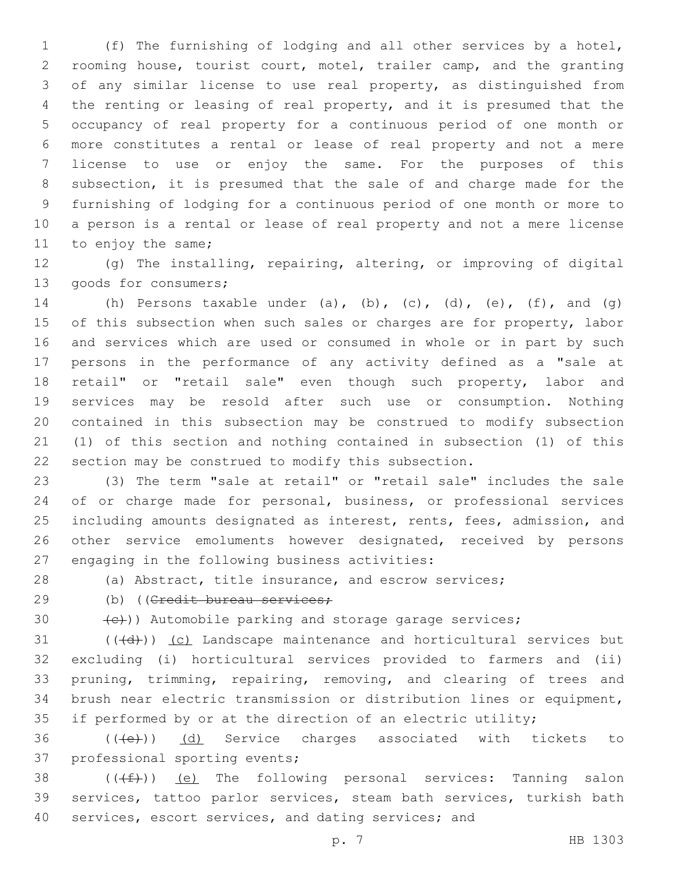(f) The furnishing of lodging and all other services by a hotel, rooming house, tourist court, motel, trailer camp, and the granting of any similar license to use real property, as distinguished from the renting or leasing of real property, and it is presumed that the occupancy of real property for a continuous period of one month or more constitutes a rental or lease of real property and not a mere license to use or enjoy the same. For the purposes of this subsection, it is presumed that the sale of and charge made for the furnishing of lodging for a continuous period of one month or more to a person is a rental or lease of real property and not a mere license 11 to enjoy the same;

 (g) The installing, repairing, altering, or improving of digital 13 goods for consumers;

14 (h) Persons taxable under (a), (b), (c), (d), (e), (f), and (g) 15 of this subsection when such sales or charges are for property, labor and services which are used or consumed in whole or in part by such persons in the performance of any activity defined as a "sale at 18 retail" or "retail sale" even though such property, labor and services may be resold after such use or consumption. Nothing contained in this subsection may be construed to modify subsection (1) of this section and nothing contained in subsection (1) of this section may be construed to modify this subsection.

 (3) The term "sale at retail" or "retail sale" includes the sale of or charge made for personal, business, or professional services including amounts designated as interest, rents, fees, admission, and other service emoluments however designated, received by persons 27 engaging in the following business activities:

(a) Abstract, title insurance, and escrow services;

29 (b) ((Credit bureau services;

 $\left( \left\langle \epsilon \right\rangle \right)$  automobile parking and storage garage services;

 (( $\left(\frac{d}{d}\right)$ ) (c) Landscape maintenance and horticultural services but excluding (i) horticultural services provided to farmers and (ii) 33 pruning, trimming, repairing, removing, and clearing of trees and brush near electric transmission or distribution lines or equipment, 35 if performed by or at the direction of an electric utility;

36 (((e)) (d) Service charges associated with tickets to 37 professional sporting events;

38  $((\text{#})\text{)}$  (e) The following personal services: Tanning salon services, tattoo parlor services, steam bath services, turkish bath services, escort services, and dating services; and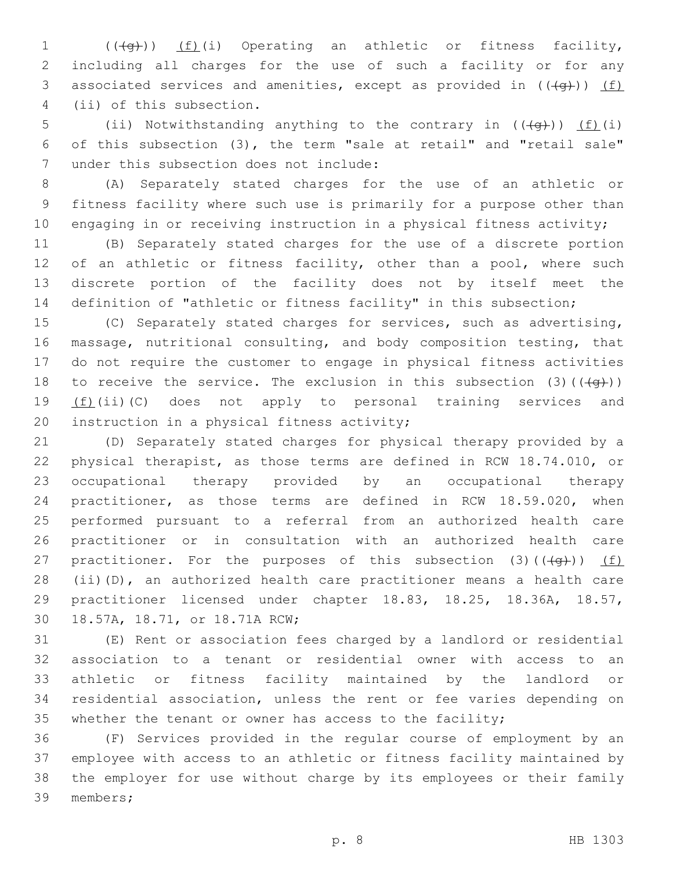1 (( $\left(\frac{1}{2}\right)$ ) (f)(i) Operating an athletic or fitness facility, including all charges for the use of such a facility or for any 3 associated services and amenities, except as provided in  $((\{q\}))$  (f) 4 (ii) of this subsection.

5 (ii) Notwithstanding anything to the contrary in  $((+q))$  (f)(i) of this subsection (3), the term "sale at retail" and "retail sale" 7 under this subsection does not include:

 (A) Separately stated charges for the use of an athletic or fitness facility where such use is primarily for a purpose other than 10 engaging in or receiving instruction in a physical fitness activity;

 (B) Separately stated charges for the use of a discrete portion 12 of an athletic or fitness facility, other than a pool, where such discrete portion of the facility does not by itself meet the definition of "athletic or fitness facility" in this subsection;

 (C) Separately stated charges for services, such as advertising, massage, nutritional consulting, and body composition testing, that do not require the customer to engage in physical fitness activities 18 to receive the service. The exclusion in this subsection (3)( $(\overline{+q})$ )  $(f)(ii)(C)$  does not apply to personal training services and 20 instruction in a physical fitness activity;

 (D) Separately stated charges for physical therapy provided by a physical therapist, as those terms are defined in RCW 18.74.010, or occupational therapy provided by an occupational therapy practitioner, as those terms are defined in RCW 18.59.020, when performed pursuant to a referral from an authorized health care practitioner or in consultation with an authorized health care 27 practitioner. For the purposes of this subsection  $(3)$   $((+g+))$   $(f)$  (ii)(D), an authorized health care practitioner means a health care practitioner licensed under chapter 18.83, 18.25, 18.36A, 18.57, 30 18.57A, 18.71, or 18.71A RCW;

 (E) Rent or association fees charged by a landlord or residential association to a tenant or residential owner with access to an athletic or fitness facility maintained by the landlord or residential association, unless the rent or fee varies depending on whether the tenant or owner has access to the facility;

 (F) Services provided in the regular course of employment by an employee with access to an athletic or fitness facility maintained by the employer for use without charge by its employees or their family 39 members;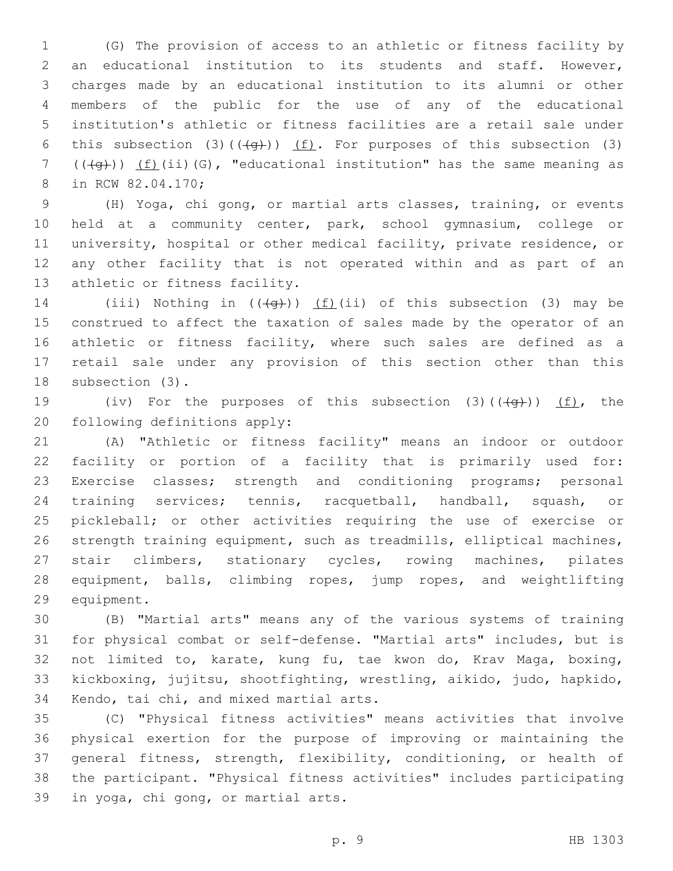(G) The provision of access to an athletic or fitness facility by an educational institution to its students and staff. However, charges made by an educational institution to its alumni or other members of the public for the use of any of the educational institution's athletic or fitness facilities are a retail sale under 6 this subsection (3)( $(\overline{+q})$ ) (f). For purposes of this subsection (3)  $((\overline{q})) (f)(ii)(G)$ , "educational institution" has the same meaning as 8 in RCW 82.04.170;

 (H) Yoga, chi gong, or martial arts classes, training, or events held at a community center, park, school gymnasium, college or university, hospital or other medical facility, private residence, or any other facility that is not operated within and as part of an 13 athletic or fitness facility.

14 (iii) Nothing in  $((+q+))$  (f)(ii) of this subsection (3) may be construed to affect the taxation of sales made by the operator of an 16 athletic or fitness facility, where such sales are defined as a retail sale under any provision of this section other than this 18 subsection (3).

19 (iv) For the purposes of this subsection  $(3)$   $((\frac{4}{9}))$   $(f)$ , the 20 following definitions apply:

 (A) "Athletic or fitness facility" means an indoor or outdoor facility or portion of a facility that is primarily used for: Exercise classes; strength and conditioning programs; personal training services; tennis, racquetball, handball, squash, or pickleball; or other activities requiring the use of exercise or strength training equipment, such as treadmills, elliptical machines, stair climbers, stationary cycles, rowing machines, pilates equipment, balls, climbing ropes, jump ropes, and weightlifting 29 equipment.

 (B) "Martial arts" means any of the various systems of training for physical combat or self-defense. "Martial arts" includes, but is not limited to, karate, kung fu, tae kwon do, Krav Maga, boxing, kickboxing, jujitsu, shootfighting, wrestling, aikido, judo, hapkido, 34 Kendo, tai chi, and mixed martial arts.

 (C) "Physical fitness activities" means activities that involve physical exertion for the purpose of improving or maintaining the general fitness, strength, flexibility, conditioning, or health of the participant. "Physical fitness activities" includes participating 39 in yoga, chi gong, or martial arts.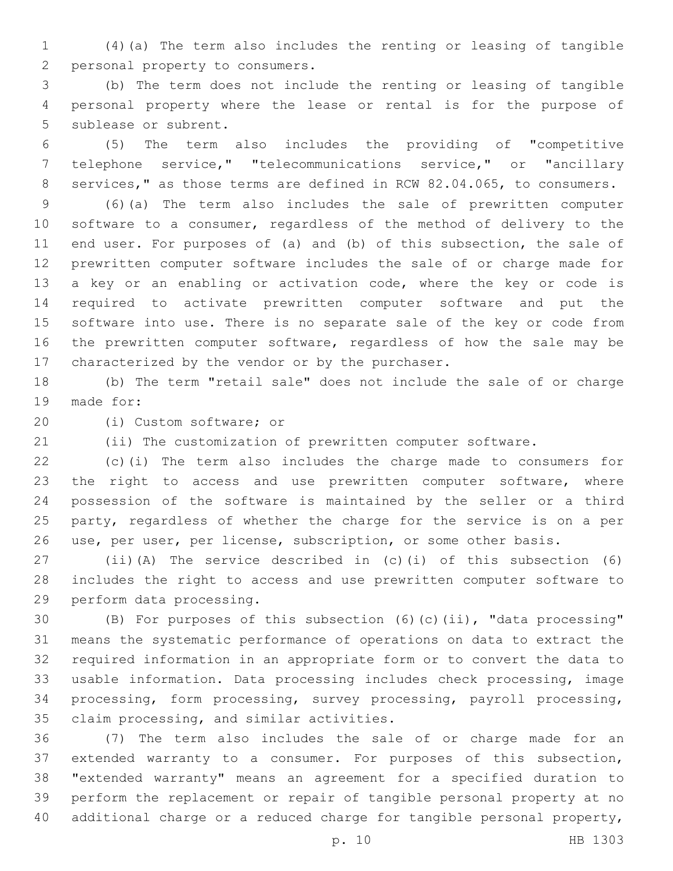(4)(a) The term also includes the renting or leasing of tangible 2 personal property to consumers.

 (b) The term does not include the renting or leasing of tangible personal property where the lease or rental is for the purpose of 5 sublease or subrent.

 (5) The term also includes the providing of "competitive telephone service," "telecommunications service," or "ancillary services," as those terms are defined in RCW 82.04.065, to consumers.

 (6)(a) The term also includes the sale of prewritten computer software to a consumer, regardless of the method of delivery to the end user. For purposes of (a) and (b) of this subsection, the sale of prewritten computer software includes the sale of or charge made for a key or an enabling or activation code, where the key or code is required to activate prewritten computer software and put the software into use. There is no separate sale of the key or code from the prewritten computer software, regardless of how the sale may be 17 characterized by the vendor or by the purchaser.

 (b) The term "retail sale" does not include the sale of or charge 19 made for:

20 (i) Custom software; or

(ii) The customization of prewritten computer software.

 (c)(i) The term also includes the charge made to consumers for the right to access and use prewritten computer software, where possession of the software is maintained by the seller or a third party, regardless of whether the charge for the service is on a per use, per user, per license, subscription, or some other basis.

 (ii)(A) The service described in (c)(i) of this subsection (6) includes the right to access and use prewritten computer software to 29 perform data processing.

 (B) For purposes of this subsection (6)(c)(ii), "data processing" means the systematic performance of operations on data to extract the required information in an appropriate form or to convert the data to usable information. Data processing includes check processing, image processing, form processing, survey processing, payroll processing, 35 claim processing, and similar activities.

 (7) The term also includes the sale of or charge made for an extended warranty to a consumer. For purposes of this subsection, "extended warranty" means an agreement for a specified duration to perform the replacement or repair of tangible personal property at no additional charge or a reduced charge for tangible personal property,

p. 10 HB 1303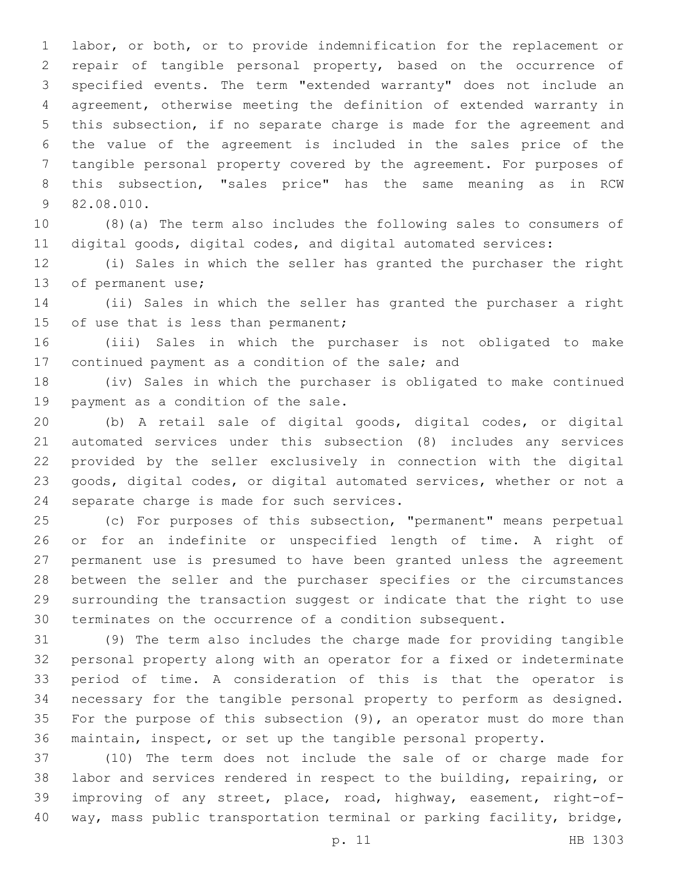labor, or both, or to provide indemnification for the replacement or repair of tangible personal property, based on the occurrence of specified events. The term "extended warranty" does not include an agreement, otherwise meeting the definition of extended warranty in this subsection, if no separate charge is made for the agreement and the value of the agreement is included in the sales price of the tangible personal property covered by the agreement. For purposes of this subsection, "sales price" has the same meaning as in RCW 9 82.08.010.

 (8)(a) The term also includes the following sales to consumers of digital goods, digital codes, and digital automated services:

 (i) Sales in which the seller has granted the purchaser the right 13 of permanent use;

 (ii) Sales in which the seller has granted the purchaser a right 15 of use that is less than permanent;

 (iii) Sales in which the purchaser is not obligated to make 17 continued payment as a condition of the sale; and

 (iv) Sales in which the purchaser is obligated to make continued 19 payment as a condition of the sale.

 (b) A retail sale of digital goods, digital codes, or digital automated services under this subsection (8) includes any services provided by the seller exclusively in connection with the digital goods, digital codes, or digital automated services, whether or not a 24 separate charge is made for such services.

 (c) For purposes of this subsection, "permanent" means perpetual or for an indefinite or unspecified length of time. A right of permanent use is presumed to have been granted unless the agreement between the seller and the purchaser specifies or the circumstances surrounding the transaction suggest or indicate that the right to use terminates on the occurrence of a condition subsequent.

 (9) The term also includes the charge made for providing tangible personal property along with an operator for a fixed or indeterminate period of time. A consideration of this is that the operator is necessary for the tangible personal property to perform as designed. For the purpose of this subsection (9), an operator must do more than maintain, inspect, or set up the tangible personal property.

 (10) The term does not include the sale of or charge made for labor and services rendered in respect to the building, repairing, or improving of any street, place, road, highway, easement, right-of-way, mass public transportation terminal or parking facility, bridge,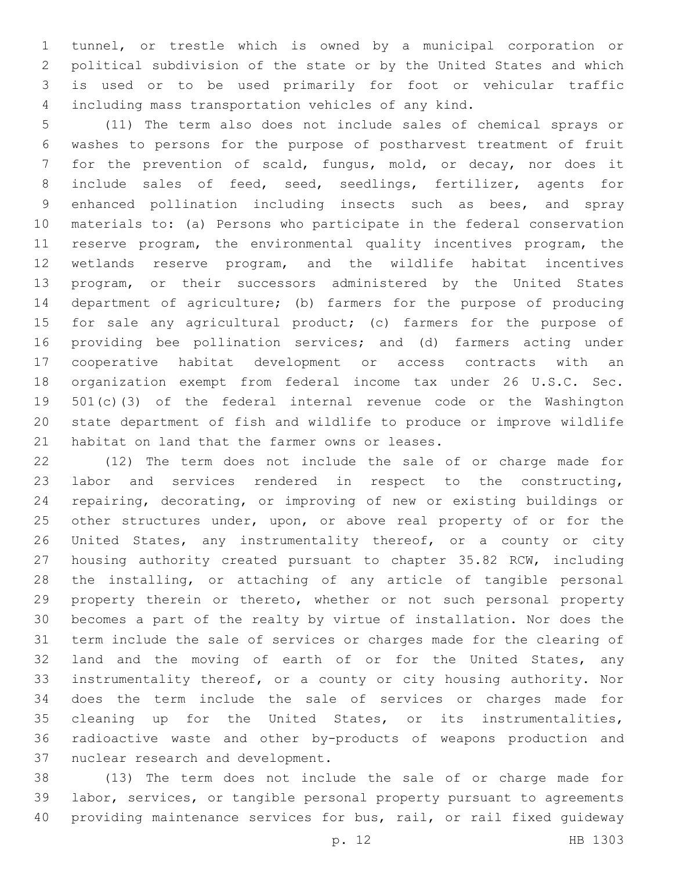tunnel, or trestle which is owned by a municipal corporation or political subdivision of the state or by the United States and which is used or to be used primarily for foot or vehicular traffic including mass transportation vehicles of any kind.

 (11) The term also does not include sales of chemical sprays or washes to persons for the purpose of postharvest treatment of fruit for the prevention of scald, fungus, mold, or decay, nor does it include sales of feed, seed, seedlings, fertilizer, agents for enhanced pollination including insects such as bees, and spray materials to: (a) Persons who participate in the federal conservation reserve program, the environmental quality incentives program, the wetlands reserve program, and the wildlife habitat incentives program, or their successors administered by the United States department of agriculture; (b) farmers for the purpose of producing 15 for sale any agricultural product; (c) farmers for the purpose of providing bee pollination services; and (d) farmers acting under cooperative habitat development or access contracts with an organization exempt from federal income tax under 26 U.S.C. Sec. 501(c)(3) of the federal internal revenue code or the Washington state department of fish and wildlife to produce or improve wildlife 21 habitat on land that the farmer owns or leases.

 (12) The term does not include the sale of or charge made for labor and services rendered in respect to the constructing, repairing, decorating, or improving of new or existing buildings or 25 other structures under, upon, or above real property of or for the United States, any instrumentality thereof, or a county or city housing authority created pursuant to chapter 35.82 RCW, including the installing, or attaching of any article of tangible personal property therein or thereto, whether or not such personal property becomes a part of the realty by virtue of installation. Nor does the term include the sale of services or charges made for the clearing of 32 land and the moving of earth of or for the United States, any instrumentality thereof, or a county or city housing authority. Nor does the term include the sale of services or charges made for cleaning up for the United States, or its instrumentalities, radioactive waste and other by-products of weapons production and 37 nuclear research and development.

 (13) The term does not include the sale of or charge made for labor, services, or tangible personal property pursuant to agreements providing maintenance services for bus, rail, or rail fixed guideway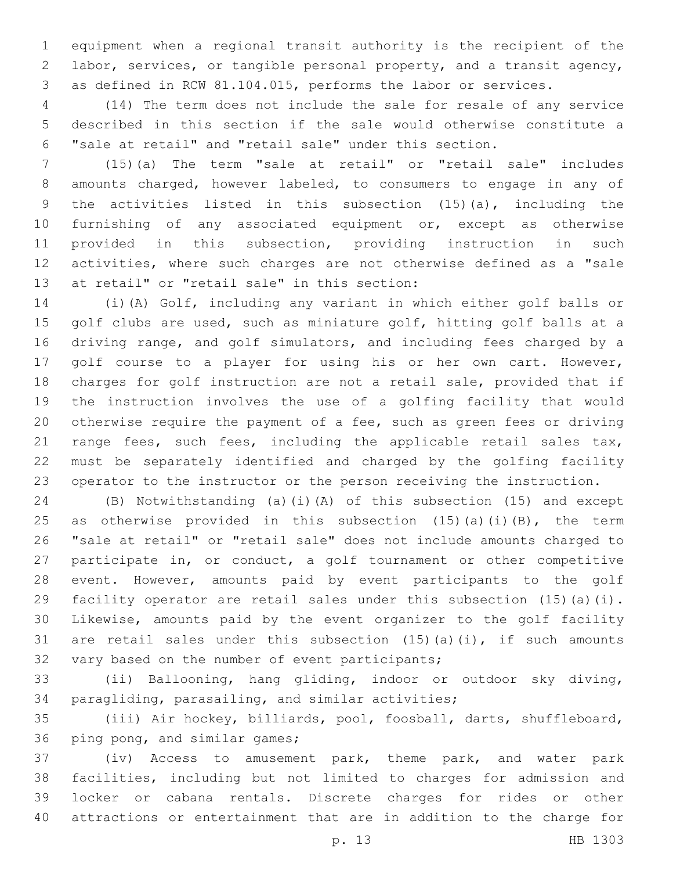equipment when a regional transit authority is the recipient of the labor, services, or tangible personal property, and a transit agency, as defined in RCW 81.104.015, performs the labor or services.

 (14) The term does not include the sale for resale of any service described in this section if the sale would otherwise constitute a "sale at retail" and "retail sale" under this section.

 (15)(a) The term "sale at retail" or "retail sale" includes amounts charged, however labeled, to consumers to engage in any of the activities listed in this subsection (15)(a), including the furnishing of any associated equipment or, except as otherwise provided in this subsection, providing instruction in such activities, where such charges are not otherwise defined as a "sale 13 at retail" or "retail sale" in this section:

 (i)(A) Golf, including any variant in which either golf balls or golf clubs are used, such as miniature golf, hitting golf balls at a driving range, and golf simulators, and including fees charged by a golf course to a player for using his or her own cart. However, charges for golf instruction are not a retail sale, provided that if the instruction involves the use of a golfing facility that would otherwise require the payment of a fee, such as green fees or driving 21 range fees, such fees, including the applicable retail sales tax, must be separately identified and charged by the golfing facility operator to the instructor or the person receiving the instruction.

 (B) Notwithstanding (a)(i)(A) of this subsection (15) and except 25 as otherwise provided in this subsection  $(15)$   $(a)$   $(i)$   $(B)$ , the term "sale at retail" or "retail sale" does not include amounts charged to participate in, or conduct, a golf tournament or other competitive event. However, amounts paid by event participants to the golf facility operator are retail sales under this subsection (15)(a)(i). Likewise, amounts paid by the event organizer to the golf facility 31 are retail sales under this subsection  $(15)$   $(a)$   $(i)$ , if such amounts 32 vary based on the number of event participants;

 (ii) Ballooning, hang gliding, indoor or outdoor sky diving, 34 paragliding, parasailing, and similar activities;

 (iii) Air hockey, billiards, pool, foosball, darts, shuffleboard, 36 ping pong, and similar games;

 (iv) Access to amusement park, theme park, and water park facilities, including but not limited to charges for admission and locker or cabana rentals. Discrete charges for rides or other attractions or entertainment that are in addition to the charge for

p. 13 HB 1303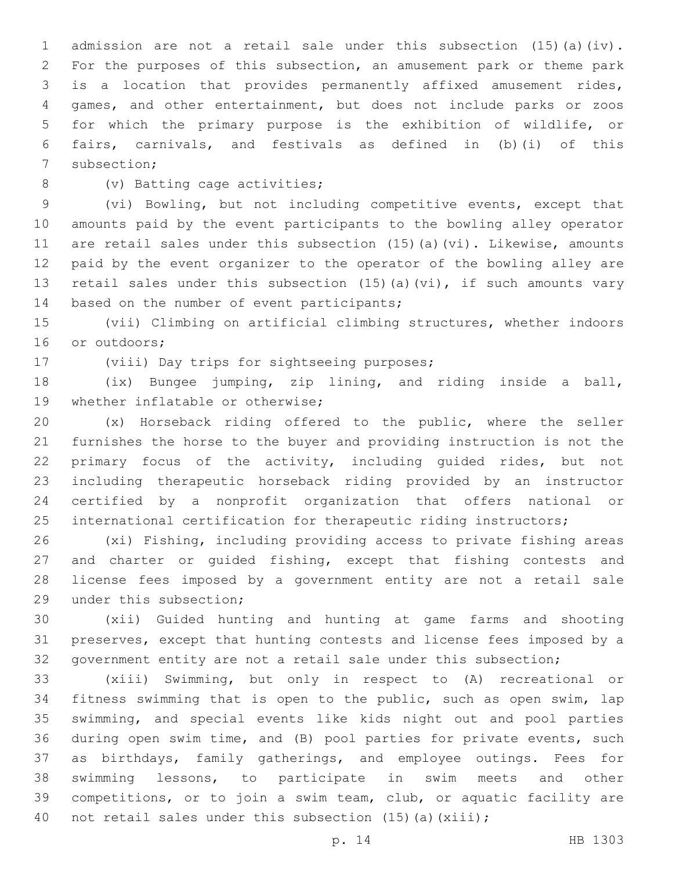admission are not a retail sale under this subsection (15)(a)(iv). For the purposes of this subsection, an amusement park or theme park is a location that provides permanently affixed amusement rides, games, and other entertainment, but does not include parks or zoos for which the primary purpose is the exhibition of wildlife, or fairs, carnivals, and festivals as defined in (b)(i) of this 7 subsection;

8 (v) Batting cage activities;

 (vi) Bowling, but not including competitive events, except that amounts paid by the event participants to the bowling alley operator are retail sales under this subsection (15)(a)(vi). Likewise, amounts paid by the event organizer to the operator of the bowling alley are retail sales under this subsection (15)(a)(vi), if such amounts vary 14 based on the number of event participants;

 (vii) Climbing on artificial climbing structures, whether indoors 16 or outdoors;

17 (viii) Day trips for sightseeing purposes;

 (ix) Bungee jumping, zip lining, and riding inside a ball, 19 whether inflatable or otherwise;

 (x) Horseback riding offered to the public, where the seller furnishes the horse to the buyer and providing instruction is not the primary focus of the activity, including guided rides, but not including therapeutic horseback riding provided by an instructor certified by a nonprofit organization that offers national or 25 international certification for therapeutic riding instructors;

 (xi) Fishing, including providing access to private fishing areas and charter or guided fishing, except that fishing contests and license fees imposed by a government entity are not a retail sale 29 under this subsection;

 (xii) Guided hunting and hunting at game farms and shooting preserves, except that hunting contests and license fees imposed by a government entity are not a retail sale under this subsection;

 (xiii) Swimming, but only in respect to (A) recreational or fitness swimming that is open to the public, such as open swim, lap swimming, and special events like kids night out and pool parties during open swim time, and (B) pool parties for private events, such as birthdays, family gatherings, and employee outings. Fees for swimming lessons, to participate in swim meets and other competitions, or to join a swim team, club, or aquatic facility are 40 not retail sales under this subsection (15)(a)(xiii);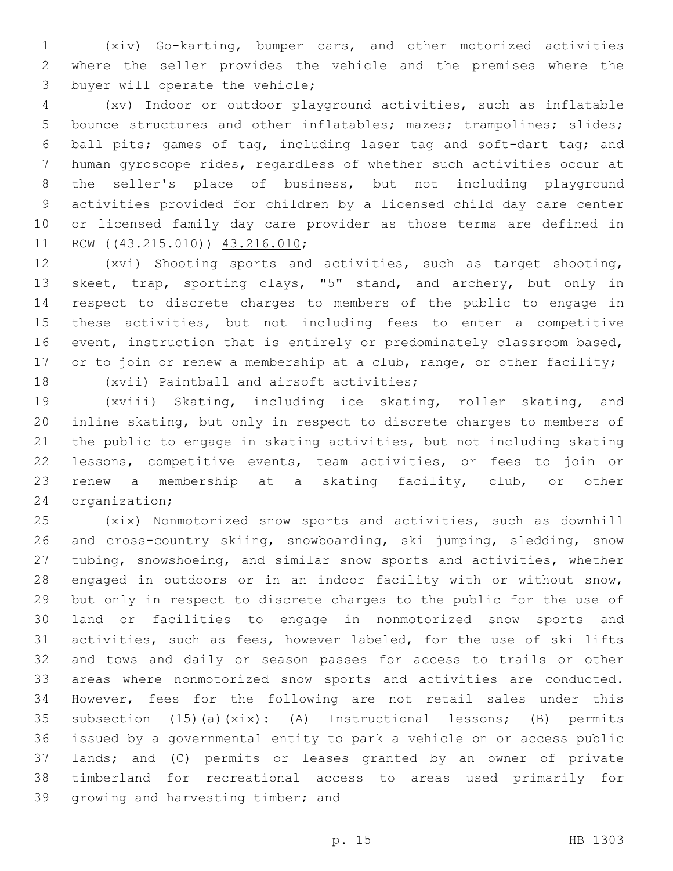(xiv) Go-karting, bumper cars, and other motorized activities where the seller provides the vehicle and the premises where the 3 buyer will operate the vehicle;

 (xv) Indoor or outdoor playground activities, such as inflatable bounce structures and other inflatables; mazes; trampolines; slides; ball pits; games of tag, including laser tag and soft-dart tag; and human gyroscope rides, regardless of whether such activities occur at the seller's place of business, but not including playground activities provided for children by a licensed child day care center or licensed family day care provider as those terms are defined in 11 RCW ((43.215.010)) 43.216.010;

 (xvi) Shooting sports and activities, such as target shooting, skeet, trap, sporting clays, "5" stand, and archery, but only in respect to discrete charges to members of the public to engage in these activities, but not including fees to enter a competitive 16 event, instruction that is entirely or predominately classroom based, 17 or to join or renew a membership at a club, range, or other facility;

18 (xvii) Paintball and airsoft activities;

 (xviii) Skating, including ice skating, roller skating, and inline skating, but only in respect to discrete charges to members of the public to engage in skating activities, but not including skating lessons, competitive events, team activities, or fees to join or renew a membership at a skating facility, club, or other 24 organization;

 (xix) Nonmotorized snow sports and activities, such as downhill and cross-country skiing, snowboarding, ski jumping, sledding, snow tubing, snowshoeing, and similar snow sports and activities, whether engaged in outdoors or in an indoor facility with or without snow, but only in respect to discrete charges to the public for the use of land or facilities to engage in nonmotorized snow sports and activities, such as fees, however labeled, for the use of ski lifts and tows and daily or season passes for access to trails or other areas where nonmotorized snow sports and activities are conducted. However, fees for the following are not retail sales under this subsection (15)(a)(xix): (A) Instructional lessons; (B) permits issued by a governmental entity to park a vehicle on or access public lands; and (C) permits or leases granted by an owner of private timberland for recreational access to areas used primarily for 39 growing and harvesting timber; and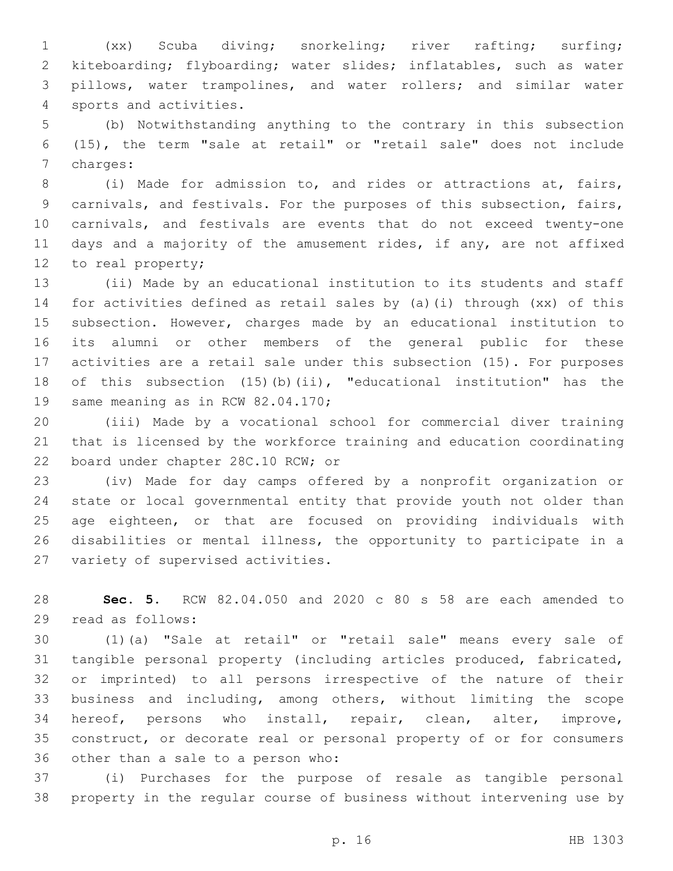(xx) Scuba diving; snorkeling; river rafting; surfing; kiteboarding; flyboarding; water slides; inflatables, such as water pillows, water trampolines, and water rollers; and similar water 4 sports and activities.

 (b) Notwithstanding anything to the contrary in this subsection (15), the term "sale at retail" or "retail sale" does not include 7 charges:

 (i) Made for admission to, and rides or attractions at, fairs, carnivals, and festivals. For the purposes of this subsection, fairs, carnivals, and festivals are events that do not exceed twenty-one days and a majority of the amusement rides, if any, are not affixed 12 to real property;

 (ii) Made by an educational institution to its students and staff for activities defined as retail sales by (a)(i) through (xx) of this subsection. However, charges made by an educational institution to its alumni or other members of the general public for these activities are a retail sale under this subsection (15). For purposes of this subsection (15)(b)(ii), "educational institution" has the 19 same meaning as in RCW 82.04.170;

 (iii) Made by a vocational school for commercial diver training that is licensed by the workforce training and education coordinating 22 board under chapter 28C.10 RCW; or

 (iv) Made for day camps offered by a nonprofit organization or state or local governmental entity that provide youth not older than age eighteen, or that are focused on providing individuals with disabilities or mental illness, the opportunity to participate in a 27 variety of supervised activities.

 **Sec. 5.** RCW 82.04.050 and 2020 c 80 s 58 are each amended to 29 read as follows:

 (1)(a) "Sale at retail" or "retail sale" means every sale of tangible personal property (including articles produced, fabricated, or imprinted) to all persons irrespective of the nature of their business and including, among others, without limiting the scope hereof, persons who install, repair, clean, alter, improve, construct, or decorate real or personal property of or for consumers 36 other than a sale to a person who:

 (i) Purchases for the purpose of resale as tangible personal property in the regular course of business without intervening use by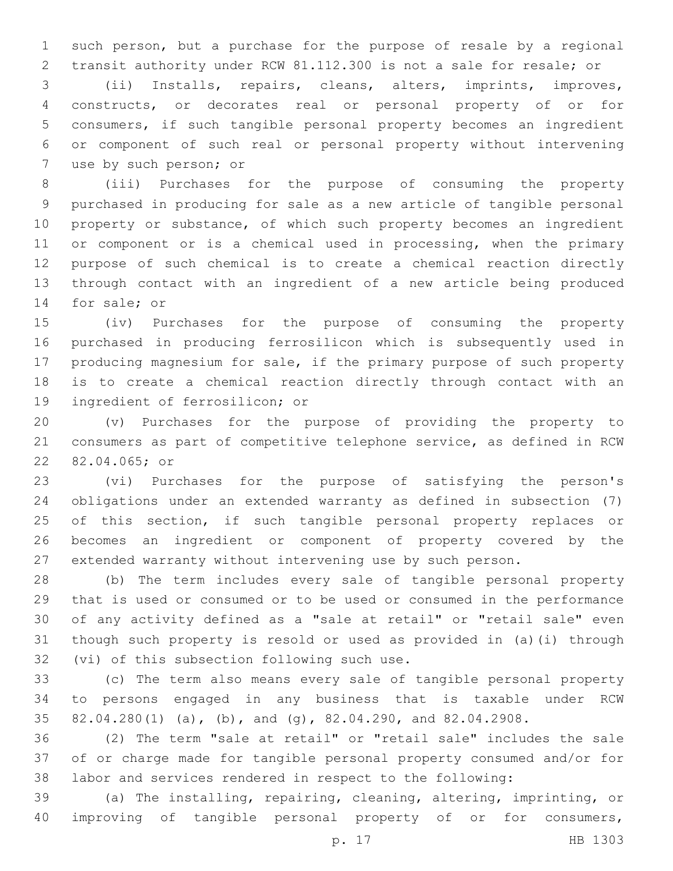such person, but a purchase for the purpose of resale by a regional transit authority under RCW 81.112.300 is not a sale for resale; or

 (ii) Installs, repairs, cleans, alters, imprints, improves, constructs, or decorates real or personal property of or for consumers, if such tangible personal property becomes an ingredient or component of such real or personal property without intervening 7 use by such person; or

 (iii) Purchases for the purpose of consuming the property purchased in producing for sale as a new article of tangible personal property or substance, of which such property becomes an ingredient 11 or component or is a chemical used in processing, when the primary purpose of such chemical is to create a chemical reaction directly through contact with an ingredient of a new article being produced 14 for sale; or

 (iv) Purchases for the purpose of consuming the property purchased in producing ferrosilicon which is subsequently used in producing magnesium for sale, if the primary purpose of such property is to create a chemical reaction directly through contact with an 19 ingredient of ferrosilicon; or

 (v) Purchases for the purpose of providing the property to consumers as part of competitive telephone service, as defined in RCW 22 82.04.065; or

 (vi) Purchases for the purpose of satisfying the person's obligations under an extended warranty as defined in subsection (7) 25 of this section, if such tangible personal property replaces or becomes an ingredient or component of property covered by the extended warranty without intervening use by such person.

 (b) The term includes every sale of tangible personal property that is used or consumed or to be used or consumed in the performance of any activity defined as a "sale at retail" or "retail sale" even though such property is resold or used as provided in (a)(i) through 32 (vi) of this subsection following such use.

 (c) The term also means every sale of tangible personal property to persons engaged in any business that is taxable under RCW 82.04.280(1) (a), (b), and (g), 82.04.290, and 82.04.2908.

 (2) The term "sale at retail" or "retail sale" includes the sale of or charge made for tangible personal property consumed and/or for labor and services rendered in respect to the following:

 (a) The installing, repairing, cleaning, altering, imprinting, or improving of tangible personal property of or for consumers,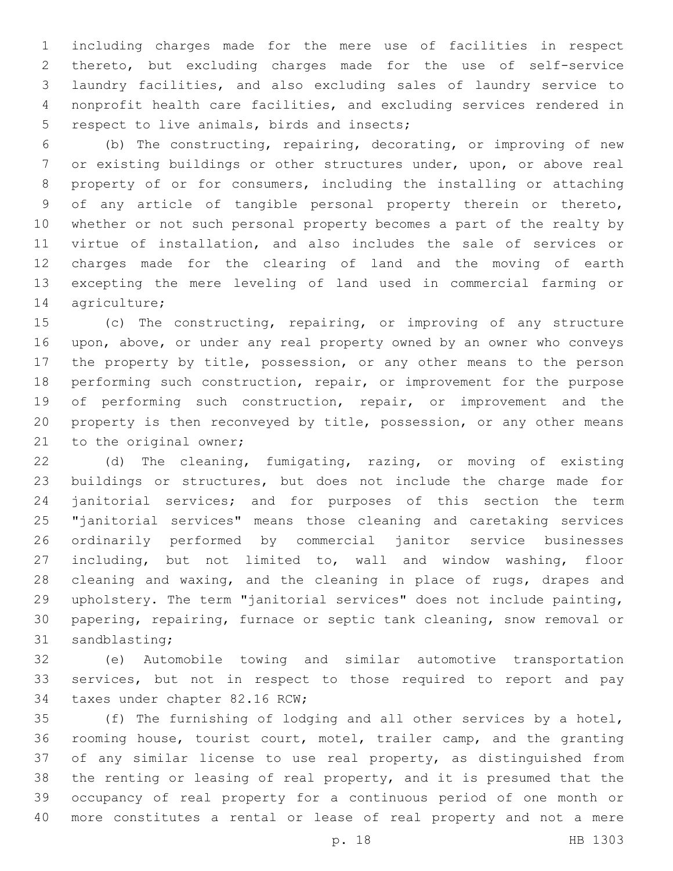including charges made for the mere use of facilities in respect thereto, but excluding charges made for the use of self-service laundry facilities, and also excluding sales of laundry service to nonprofit health care facilities, and excluding services rendered in 5 respect to live animals, birds and insects;

 (b) The constructing, repairing, decorating, or improving of new or existing buildings or other structures under, upon, or above real property of or for consumers, including the installing or attaching of any article of tangible personal property therein or thereto, whether or not such personal property becomes a part of the realty by virtue of installation, and also includes the sale of services or charges made for the clearing of land and the moving of earth excepting the mere leveling of land used in commercial farming or 14 agriculture;

 (c) The constructing, repairing, or improving of any structure upon, above, or under any real property owned by an owner who conveys 17 the property by title, possession, or any other means to the person performing such construction, repair, or improvement for the purpose 19 of performing such construction, repair, or improvement and the property is then reconveyed by title, possession, or any other means 21 to the original owner;

 (d) The cleaning, fumigating, razing, or moving of existing buildings or structures, but does not include the charge made for janitorial services; and for purposes of this section the term "janitorial services" means those cleaning and caretaking services ordinarily performed by commercial janitor service businesses including, but not limited to, wall and window washing, floor cleaning and waxing, and the cleaning in place of rugs, drapes and upholstery. The term "janitorial services" does not include painting, papering, repairing, furnace or septic tank cleaning, snow removal or 31 sandblasting;

 (e) Automobile towing and similar automotive transportation services, but not in respect to those required to report and pay 34 taxes under chapter 82.16 RCW;

 (f) The furnishing of lodging and all other services by a hotel, rooming house, tourist court, motel, trailer camp, and the granting of any similar license to use real property, as distinguished from the renting or leasing of real property, and it is presumed that the occupancy of real property for a continuous period of one month or more constitutes a rental or lease of real property and not a mere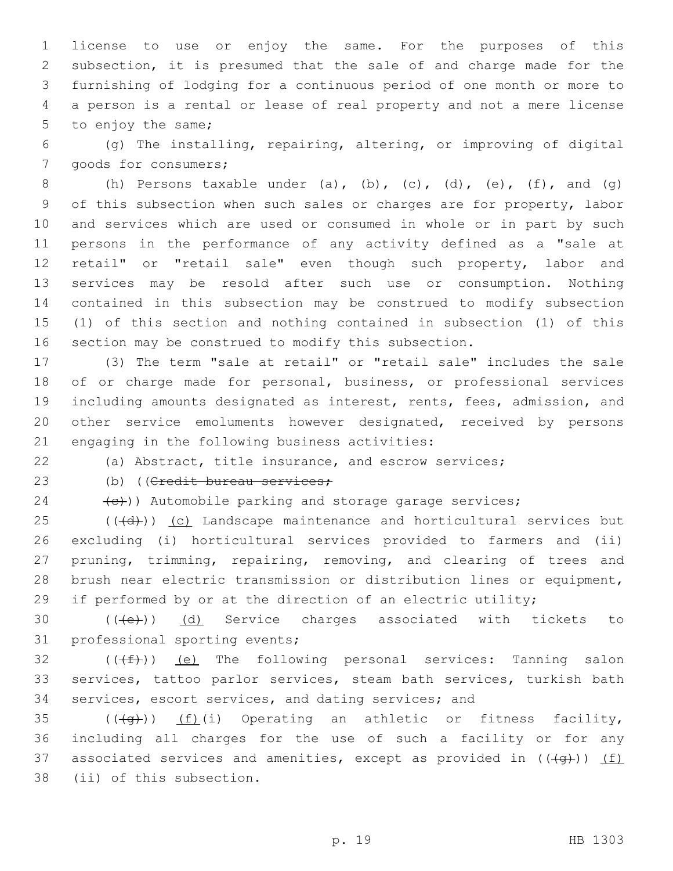license to use or enjoy the same. For the purposes of this subsection, it is presumed that the sale of and charge made for the furnishing of lodging for a continuous period of one month or more to a person is a rental or lease of real property and not a mere license 5 to enjoy the same;

 (g) The installing, repairing, altering, or improving of digital 7 goods for consumers;

8 (h) Persons taxable under (a), (b), (c), (d), (e), (f), and (g) of this subsection when such sales or charges are for property, labor and services which are used or consumed in whole or in part by such persons in the performance of any activity defined as a "sale at 12 retail" or "retail sale" even though such property, labor and services may be resold after such use or consumption. Nothing contained in this subsection may be construed to modify subsection (1) of this section and nothing contained in subsection (1) of this section may be construed to modify this subsection.

 (3) The term "sale at retail" or "retail sale" includes the sale of or charge made for personal, business, or professional services including amounts designated as interest, rents, fees, admission, and other service emoluments however designated, received by persons 21 engaging in the following business activities:

(a) Abstract, title insurance, and escrow services;

23 (b) ((Credit bureau services;

 $(24 \leftarrow +e)$ ) Automobile parking and storage garage services;

 (( $\left(\frac{1}{d} \right)$ ) (c) Landscape maintenance and horticultural services but excluding (i) horticultural services provided to farmers and (ii) pruning, trimming, repairing, removing, and clearing of trees and brush near electric transmission or distribution lines or equipment, 29 if performed by or at the direction of an electric utility;

30 (((e)) (d) Service charges associated with tickets to 31 professional sporting events;

 (( $(f)$ )) <u>(e)</u> The following personal services: Tanning salon services, tattoo parlor services, steam bath services, turkish bath services, escort services, and dating services; and

35  $((\langle q\rangle))$   $(f)(i)$  Operating an athletic or fitness facility, including all charges for the use of such a facility or for any 37 associated services and amenities, except as provided in  $((+q+))$  (f) 38 (ii) of this subsection.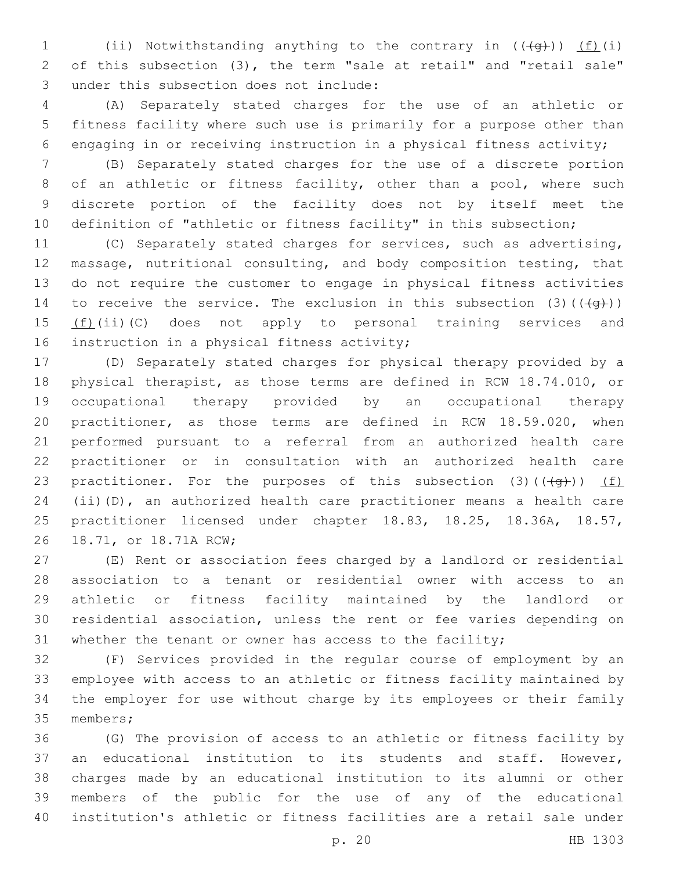1 (ii) Notwithstanding anything to the contrary in  $((\{q\}))$  (f)(i) of this subsection (3), the term "sale at retail" and "retail sale" under this subsection does not include:3

 (A) Separately stated charges for the use of an athletic or fitness facility where such use is primarily for a purpose other than engaging in or receiving instruction in a physical fitness activity;

 (B) Separately stated charges for the use of a discrete portion 8 of an athletic or fitness facility, other than a pool, where such discrete portion of the facility does not by itself meet the definition of "athletic or fitness facility" in this subsection;

 (C) Separately stated charges for services, such as advertising, massage, nutritional consulting, and body composition testing, that do not require the customer to engage in physical fitness activities 14 to receive the service. The exclusion in this subsection  $(3)$  ( $(\overline{+q})$ )  $(f)(ii)(C)$  does not apply to personal training services and 16 instruction in a physical fitness activity;

 (D) Separately stated charges for physical therapy provided by a physical therapist, as those terms are defined in RCW 18.74.010, or occupational therapy provided by an occupational therapy practitioner, as those terms are defined in RCW 18.59.020, when performed pursuant to a referral from an authorized health care practitioner or in consultation with an authorized health care 23 practitioner. For the purposes of this subsection  $(3)((\{q\}))$  (f) (ii)(D), an authorized health care practitioner means a health care practitioner licensed under chapter 18.83, 18.25, 18.36A, 18.57, 26 18.71, or 18.71A RCW;

 (E) Rent or association fees charged by a landlord or residential association to a tenant or residential owner with access to an athletic or fitness facility maintained by the landlord or residential association, unless the rent or fee varies depending on whether the tenant or owner has access to the facility;

 (F) Services provided in the regular course of employment by an employee with access to an athletic or fitness facility maintained by the employer for use without charge by its employees or their family 35 members;

 (G) The provision of access to an athletic or fitness facility by an educational institution to its students and staff. However, charges made by an educational institution to its alumni or other members of the public for the use of any of the educational institution's athletic or fitness facilities are a retail sale under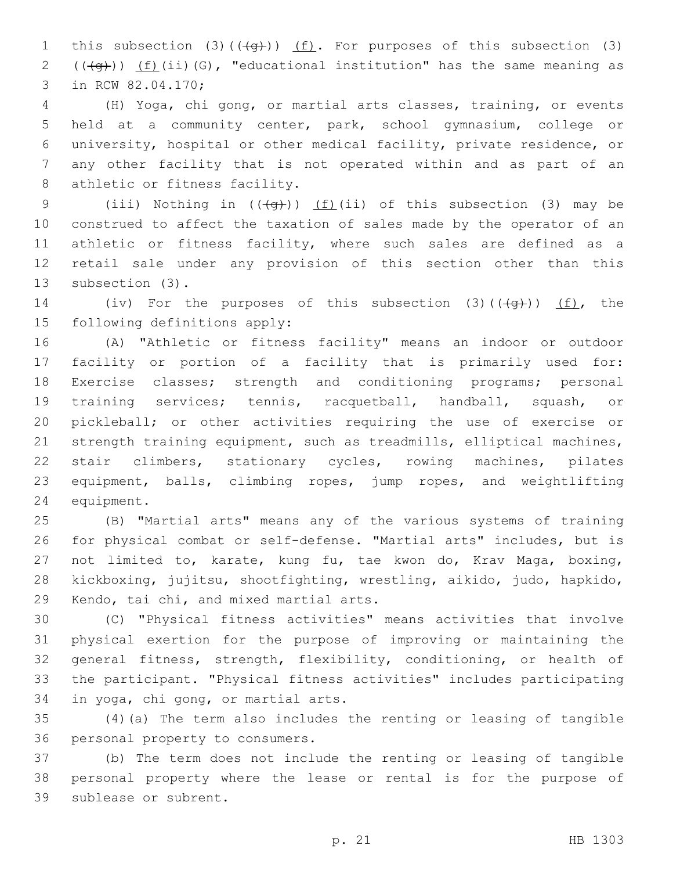1 this subsection (3)( $(\frac{4}{9})$ ) (f). For purposes of this subsection (3) 2  $((\overline{4g}))$   $(f)(ii)(G)$ , "educational institution" has the same meaning as 3 in RCW 82.04.170;

 (H) Yoga, chi gong, or martial arts classes, training, or events held at a community center, park, school gymnasium, college or university, hospital or other medical facility, private residence, or any other facility that is not operated within and as part of an 8 athletic or fitness facility.

9 (iii) Nothing in  $((+q))$  (f)(ii) of this subsection (3) may be construed to affect the taxation of sales made by the operator of an 11 athletic or fitness facility, where such sales are defined as a retail sale under any provision of this section other than this 13 subsection (3).

14 (iv) For the purposes of this subsection (3)( $(\overline{+q})$ ) (f), the 15 following definitions apply:

 (A) "Athletic or fitness facility" means an indoor or outdoor facility or portion of a facility that is primarily used for: Exercise classes; strength and conditioning programs; personal training services; tennis, racquetball, handball, squash, or pickleball; or other activities requiring the use of exercise or strength training equipment, such as treadmills, elliptical machines, stair climbers, stationary cycles, rowing machines, pilates equipment, balls, climbing ropes, jump ropes, and weightlifting 24 equipment.

 (B) "Martial arts" means any of the various systems of training for physical combat or self-defense. "Martial arts" includes, but is not limited to, karate, kung fu, tae kwon do, Krav Maga, boxing, kickboxing, jujitsu, shootfighting, wrestling, aikido, judo, hapkido, 29 Kendo, tai chi, and mixed martial arts.

 (C) "Physical fitness activities" means activities that involve physical exertion for the purpose of improving or maintaining the general fitness, strength, flexibility, conditioning, or health of the participant. "Physical fitness activities" includes participating 34 in yoga, chi gong, or martial arts.

 (4)(a) The term also includes the renting or leasing of tangible 36 personal property to consumers.

 (b) The term does not include the renting or leasing of tangible personal property where the lease or rental is for the purpose of 39 sublease or subrent.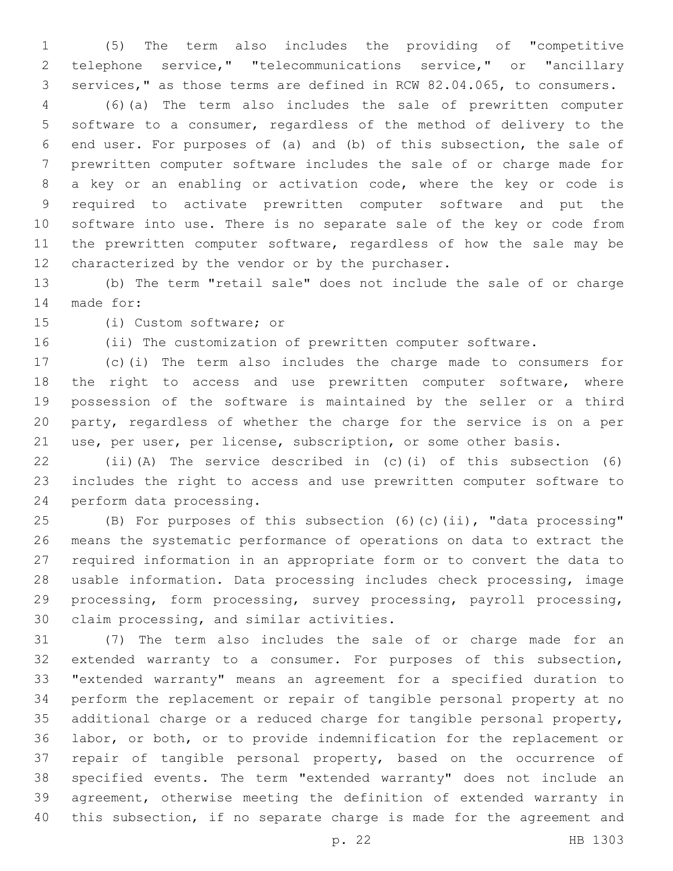(5) The term also includes the providing of "competitive telephone service," "telecommunications service," or "ancillary services," as those terms are defined in RCW 82.04.065, to consumers.

 (6)(a) The term also includes the sale of prewritten computer software to a consumer, regardless of the method of delivery to the end user. For purposes of (a) and (b) of this subsection, the sale of prewritten computer software includes the sale of or charge made for a key or an enabling or activation code, where the key or code is required to activate prewritten computer software and put the software into use. There is no separate sale of the key or code from 11 the prewritten computer software, regardless of how the sale may be 12 characterized by the vendor or by the purchaser.

 (b) The term "retail sale" does not include the sale of or charge 14 made for:

15 (i) Custom software; or

(ii) The customization of prewritten computer software.

 (c)(i) The term also includes the charge made to consumers for 18 the right to access and use prewritten computer software, where possession of the software is maintained by the seller or a third party, regardless of whether the charge for the service is on a per use, per user, per license, subscription, or some other basis.

 (ii)(A) The service described in (c)(i) of this subsection (6) includes the right to access and use prewritten computer software to 24 perform data processing.

 (B) For purposes of this subsection (6)(c)(ii), "data processing" means the systematic performance of operations on data to extract the required information in an appropriate form or to convert the data to usable information. Data processing includes check processing, image processing, form processing, survey processing, payroll processing, 30 claim processing, and similar activities.

 (7) The term also includes the sale of or charge made for an extended warranty to a consumer. For purposes of this subsection, "extended warranty" means an agreement for a specified duration to perform the replacement or repair of tangible personal property at no additional charge or a reduced charge for tangible personal property, labor, or both, or to provide indemnification for the replacement or repair of tangible personal property, based on the occurrence of specified events. The term "extended warranty" does not include an agreement, otherwise meeting the definition of extended warranty in this subsection, if no separate charge is made for the agreement and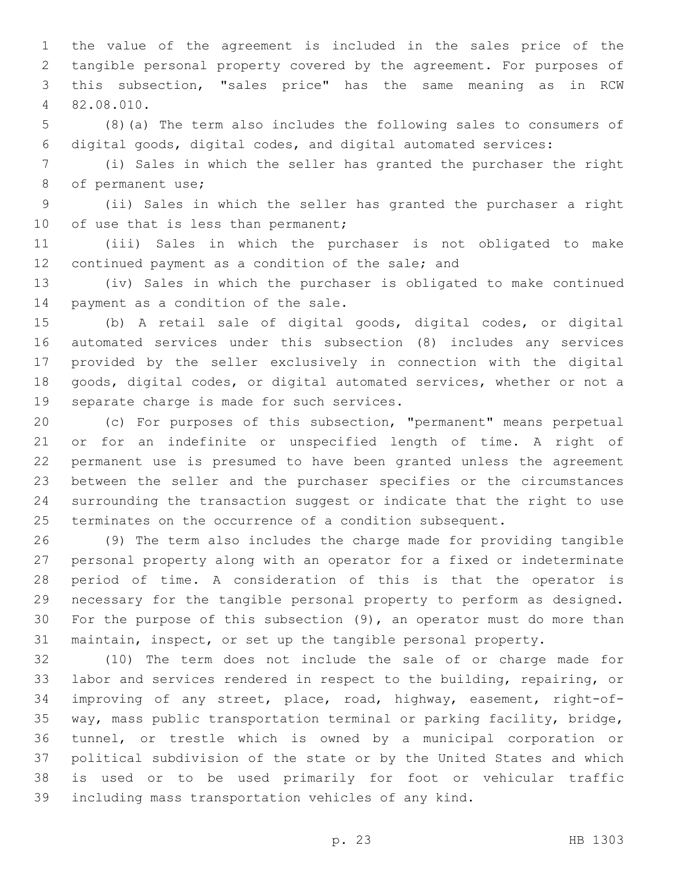the value of the agreement is included in the sales price of the tangible personal property covered by the agreement. For purposes of this subsection, "sales price" has the same meaning as in RCW 82.08.010.4

 (8)(a) The term also includes the following sales to consumers of digital goods, digital codes, and digital automated services:

 (i) Sales in which the seller has granted the purchaser the right 8 of permanent use;

 (ii) Sales in which the seller has granted the purchaser a right 10 of use that is less than permanent;

 (iii) Sales in which the purchaser is not obligated to make 12 continued payment as a condition of the sale; and

 (iv) Sales in which the purchaser is obligated to make continued 14 payment as a condition of the sale.

 (b) A retail sale of digital goods, digital codes, or digital automated services under this subsection (8) includes any services provided by the seller exclusively in connection with the digital goods, digital codes, or digital automated services, whether or not a 19 separate charge is made for such services.

 (c) For purposes of this subsection, "permanent" means perpetual or for an indefinite or unspecified length of time. A right of permanent use is presumed to have been granted unless the agreement between the seller and the purchaser specifies or the circumstances surrounding the transaction suggest or indicate that the right to use terminates on the occurrence of a condition subsequent.

 (9) The term also includes the charge made for providing tangible personal property along with an operator for a fixed or indeterminate period of time. A consideration of this is that the operator is necessary for the tangible personal property to perform as designed. For the purpose of this subsection (9), an operator must do more than maintain, inspect, or set up the tangible personal property.

 (10) The term does not include the sale of or charge made for labor and services rendered in respect to the building, repairing, or improving of any street, place, road, highway, easement, right-of- way, mass public transportation terminal or parking facility, bridge, tunnel, or trestle which is owned by a municipal corporation or political subdivision of the state or by the United States and which is used or to be used primarily for foot or vehicular traffic including mass transportation vehicles of any kind.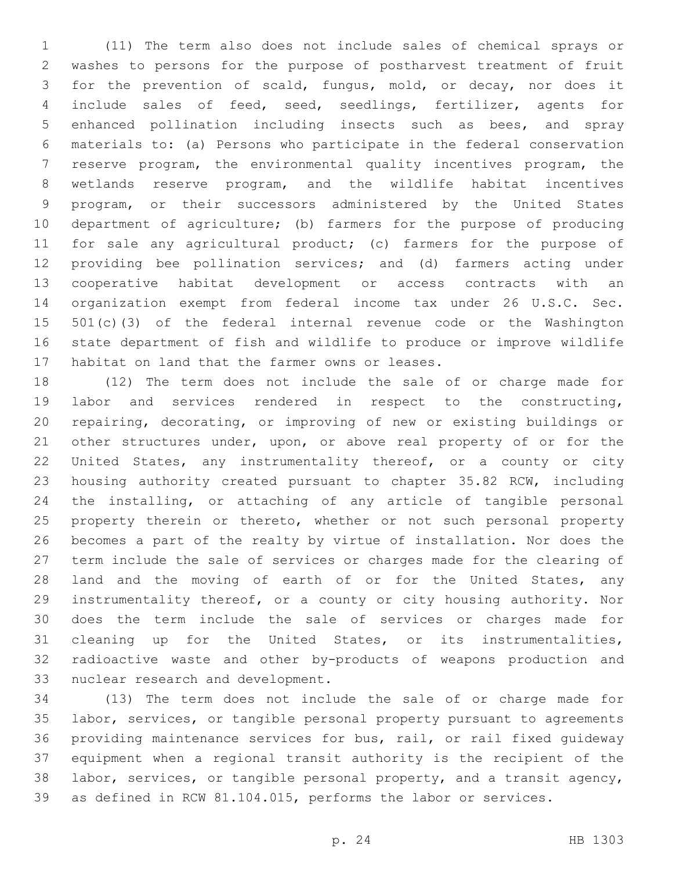(11) The term also does not include sales of chemical sprays or washes to persons for the purpose of postharvest treatment of fruit for the prevention of scald, fungus, mold, or decay, nor does it include sales of feed, seed, seedlings, fertilizer, agents for enhanced pollination including insects such as bees, and spray materials to: (a) Persons who participate in the federal conservation reserve program, the environmental quality incentives program, the wetlands reserve program, and the wildlife habitat incentives program, or their successors administered by the United States department of agriculture; (b) farmers for the purpose of producing for sale any agricultural product; (c) farmers for the purpose of providing bee pollination services; and (d) farmers acting under cooperative habitat development or access contracts with an organization exempt from federal income tax under 26 U.S.C. Sec. 501(c)(3) of the federal internal revenue code or the Washington state department of fish and wildlife to produce or improve wildlife 17 habitat on land that the farmer owns or leases.

 (12) The term does not include the sale of or charge made for labor and services rendered in respect to the constructing, repairing, decorating, or improving of new or existing buildings or other structures under, upon, or above real property of or for the United States, any instrumentality thereof, or a county or city housing authority created pursuant to chapter 35.82 RCW, including the installing, or attaching of any article of tangible personal 25 property therein or thereto, whether or not such personal property becomes a part of the realty by virtue of installation. Nor does the term include the sale of services or charges made for the clearing of land and the moving of earth of or for the United States, any instrumentality thereof, or a county or city housing authority. Nor does the term include the sale of services or charges made for cleaning up for the United States, or its instrumentalities, radioactive waste and other by-products of weapons production and 33 nuclear research and development.

 (13) The term does not include the sale of or charge made for labor, services, or tangible personal property pursuant to agreements providing maintenance services for bus, rail, or rail fixed guideway equipment when a regional transit authority is the recipient of the labor, services, or tangible personal property, and a transit agency, as defined in RCW 81.104.015, performs the labor or services.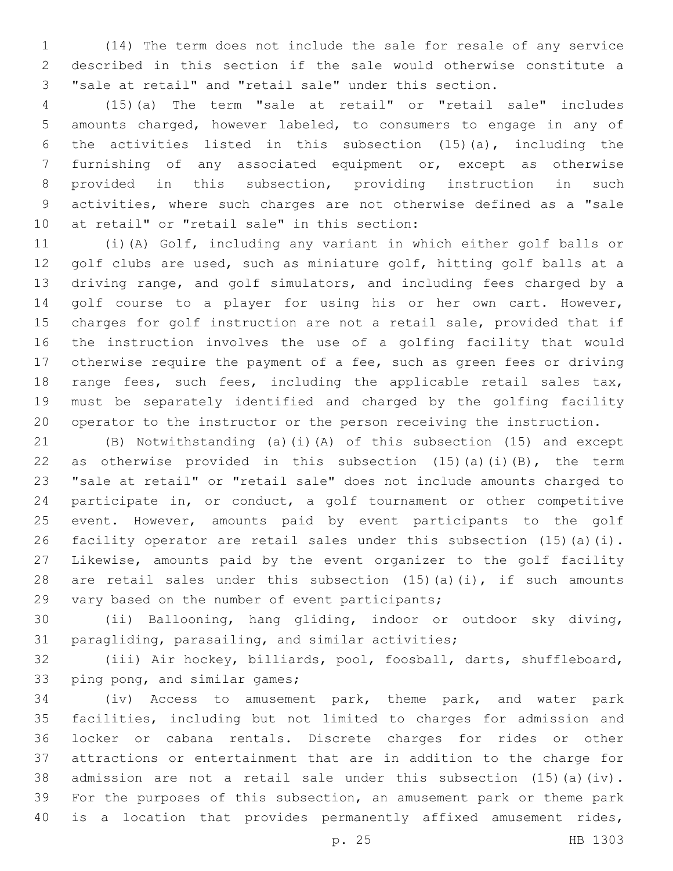(14) The term does not include the sale for resale of any service described in this section if the sale would otherwise constitute a "sale at retail" and "retail sale" under this section.

 (15)(a) The term "sale at retail" or "retail sale" includes amounts charged, however labeled, to consumers to engage in any of the activities listed in this subsection (15)(a), including the furnishing of any associated equipment or, except as otherwise provided in this subsection, providing instruction in such activities, where such charges are not otherwise defined as a "sale 10 at retail" or "retail sale" in this section:

 (i)(A) Golf, including any variant in which either golf balls or golf clubs are used, such as miniature golf, hitting golf balls at a driving range, and golf simulators, and including fees charged by a golf course to a player for using his or her own cart. However, charges for golf instruction are not a retail sale, provided that if the instruction involves the use of a golfing facility that would otherwise require the payment of a fee, such as green fees or driving range fees, such fees, including the applicable retail sales tax, must be separately identified and charged by the golfing facility operator to the instructor or the person receiving the instruction.

 (B) Notwithstanding (a)(i)(A) of this subsection (15) and except 22 as otherwise provided in this subsection  $(15)(a)(i)(B)$ , the term "sale at retail" or "retail sale" does not include amounts charged to participate in, or conduct, a golf tournament or other competitive event. However, amounts paid by event participants to the golf facility operator are retail sales under this subsection (15)(a)(i). Likewise, amounts paid by the event organizer to the golf facility 28 are retail sales under this subsection  $(15)$   $(a)$   $(i)$ , if such amounts 29 vary based on the number of event participants;

 (ii) Ballooning, hang gliding, indoor or outdoor sky diving, 31 paragliding, parasailing, and similar activities;

 (iii) Air hockey, billiards, pool, foosball, darts, shuffleboard, 33 ping pong, and similar games;

 (iv) Access to amusement park, theme park, and water park facilities, including but not limited to charges for admission and locker or cabana rentals. Discrete charges for rides or other attractions or entertainment that are in addition to the charge for admission are not a retail sale under this subsection (15)(a)(iv). For the purposes of this subsection, an amusement park or theme park is a location that provides permanently affixed amusement rides,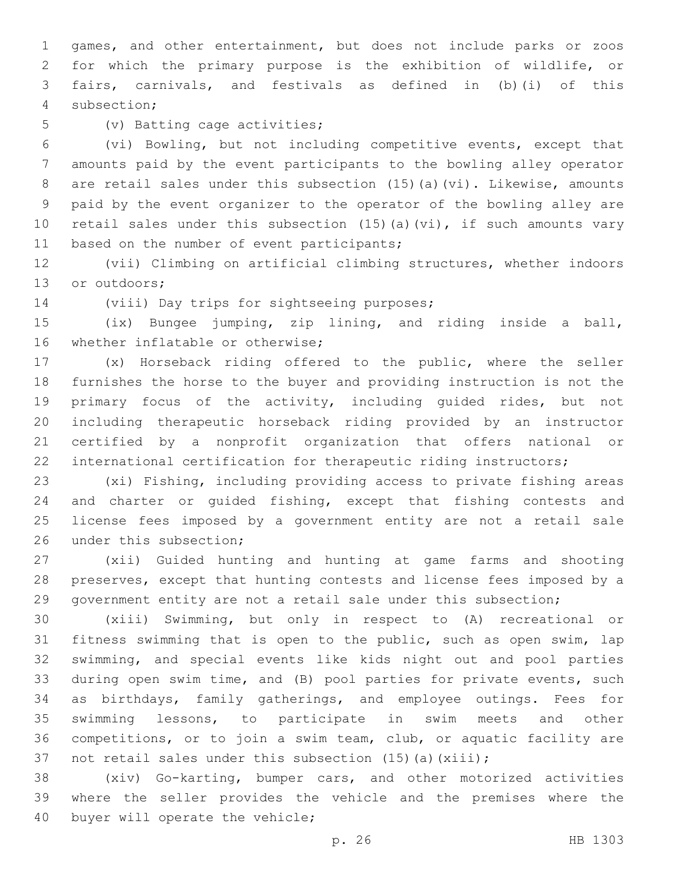games, and other entertainment, but does not include parks or zoos for which the primary purpose is the exhibition of wildlife, or fairs, carnivals, and festivals as defined in (b)(i) of this subsection;4

5 (v) Batting cage activities;

 (vi) Bowling, but not including competitive events, except that amounts paid by the event participants to the bowling alley operator are retail sales under this subsection (15)(a)(vi). Likewise, amounts paid by the event organizer to the operator of the bowling alley are retail sales under this subsection (15)(a)(vi), if such amounts vary 11 based on the number of event participants;

 (vii) Climbing on artificial climbing structures, whether indoors 13 or outdoors;

14 (viii) Day trips for sightseeing purposes;

 (ix) Bungee jumping, zip lining, and riding inside a ball, 16 whether inflatable or otherwise;

 (x) Horseback riding offered to the public, where the seller furnishes the horse to the buyer and providing instruction is not the primary focus of the activity, including guided rides, but not including therapeutic horseback riding provided by an instructor certified by a nonprofit organization that offers national or international certification for therapeutic riding instructors;

 (xi) Fishing, including providing access to private fishing areas and charter or guided fishing, except that fishing contests and license fees imposed by a government entity are not a retail sale 26 under this subsection;

 (xii) Guided hunting and hunting at game farms and shooting preserves, except that hunting contests and license fees imposed by a government entity are not a retail sale under this subsection;

 (xiii) Swimming, but only in respect to (A) recreational or fitness swimming that is open to the public, such as open swim, lap swimming, and special events like kids night out and pool parties during open swim time, and (B) pool parties for private events, such as birthdays, family gatherings, and employee outings. Fees for swimming lessons, to participate in swim meets and other competitions, or to join a swim team, club, or aquatic facility are 37 not retail sales under this subsection (15)(a)(xiii);

 (xiv) Go-karting, bumper cars, and other motorized activities where the seller provides the vehicle and the premises where the 40 buyer will operate the vehicle;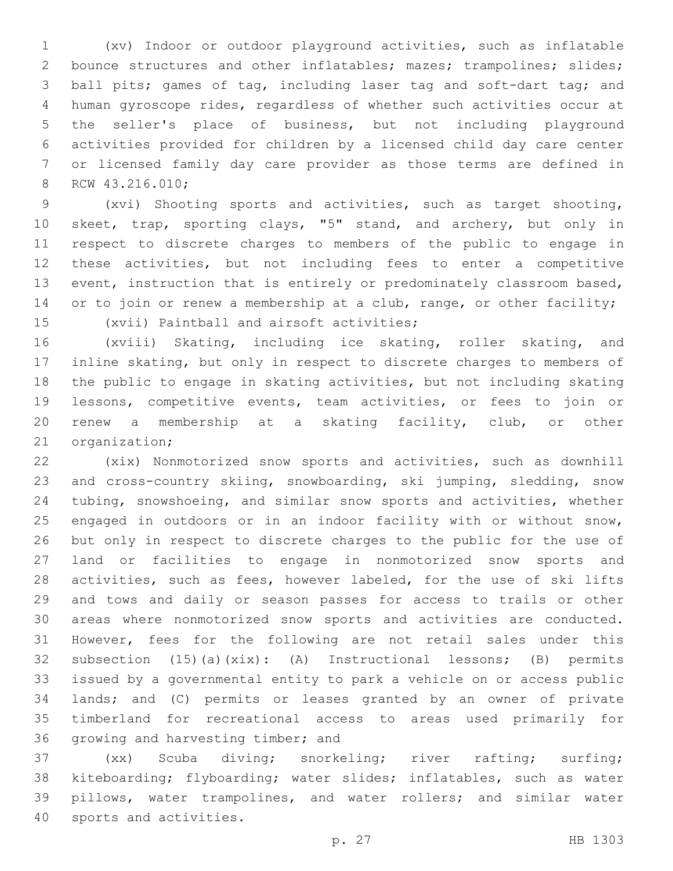(xv) Indoor or outdoor playground activities, such as inflatable 2 bounce structures and other inflatables; mazes; trampolines; slides; ball pits; games of tag, including laser tag and soft-dart tag; and human gyroscope rides, regardless of whether such activities occur at the seller's place of business, but not including playground activities provided for children by a licensed child day care center or licensed family day care provider as those terms are defined in 8 RCW 43.216.010;

 (xvi) Shooting sports and activities, such as target shooting, skeet, trap, sporting clays, "5" stand, and archery, but only in respect to discrete charges to members of the public to engage in these activities, but not including fees to enter a competitive event, instruction that is entirely or predominately classroom based, 14 or to join or renew a membership at a club, range, or other facility; 15 (xvii) Paintball and airsoft activities;

 (xviii) Skating, including ice skating, roller skating, and inline skating, but only in respect to discrete charges to members of the public to engage in skating activities, but not including skating lessons, competitive events, team activities, or fees to join or renew a membership at a skating facility, club, or other 21 organization;

 (xix) Nonmotorized snow sports and activities, such as downhill and cross-country skiing, snowboarding, ski jumping, sledding, snow tubing, snowshoeing, and similar snow sports and activities, whether engaged in outdoors or in an indoor facility with or without snow, but only in respect to discrete charges to the public for the use of land or facilities to engage in nonmotorized snow sports and activities, such as fees, however labeled, for the use of ski lifts and tows and daily or season passes for access to trails or other areas where nonmotorized snow sports and activities are conducted. However, fees for the following are not retail sales under this subsection (15)(a)(xix): (A) Instructional lessons; (B) permits issued by a governmental entity to park a vehicle on or access public lands; and (C) permits or leases granted by an owner of private timberland for recreational access to areas used primarily for 36 growing and harvesting timber; and

 (xx) Scuba diving; snorkeling; river rafting; surfing; kiteboarding; flyboarding; water slides; inflatables, such as water pillows, water trampolines, and water rollers; and similar water 40 sports and activities.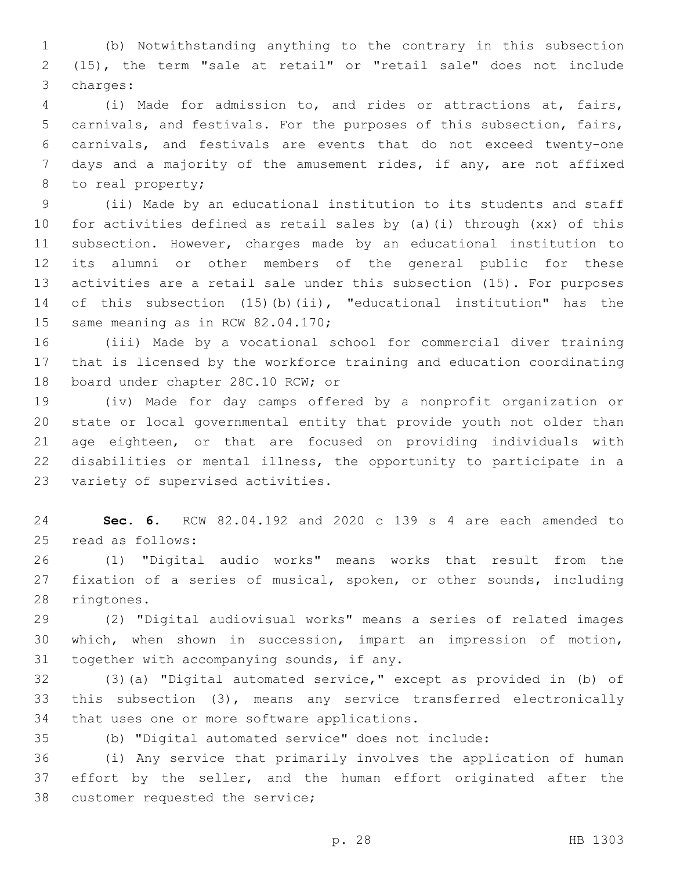(b) Notwithstanding anything to the contrary in this subsection (15), the term "sale at retail" or "retail sale" does not include 3 charges:

 (i) Made for admission to, and rides or attractions at, fairs, carnivals, and festivals. For the purposes of this subsection, fairs, carnivals, and festivals are events that do not exceed twenty-one 7 days and a majority of the amusement rides, if any, are not affixed 8 to real property;

 (ii) Made by an educational institution to its students and staff for activities defined as retail sales by (a)(i) through (xx) of this subsection. However, charges made by an educational institution to its alumni or other members of the general public for these activities are a retail sale under this subsection (15). For purposes of this subsection (15)(b)(ii), "educational institution" has the 15 same meaning as in RCW 82.04.170;

 (iii) Made by a vocational school for commercial diver training that is licensed by the workforce training and education coordinating 18 board under chapter 28C.10 RCW; or

 (iv) Made for day camps offered by a nonprofit organization or state or local governmental entity that provide youth not older than age eighteen, or that are focused on providing individuals with disabilities or mental illness, the opportunity to participate in a 23 variety of supervised activities.

 **Sec. 6.** RCW 82.04.192 and 2020 c 139 s 4 are each amended to 25 read as follows:

 (1) "Digital audio works" means works that result from the fixation of a series of musical, spoken, or other sounds, including 28 ringtones.

 (2) "Digital audiovisual works" means a series of related images which, when shown in succession, impart an impression of motion, 31 together with accompanying sounds, if any.

 (3)(a) "Digital automated service," except as provided in (b) of this subsection (3), means any service transferred electronically 34 that uses one or more software applications.

(b) "Digital automated service" does not include:

 (i) Any service that primarily involves the application of human 37 effort by the seller, and the human effort originated after the 38 customer requested the service;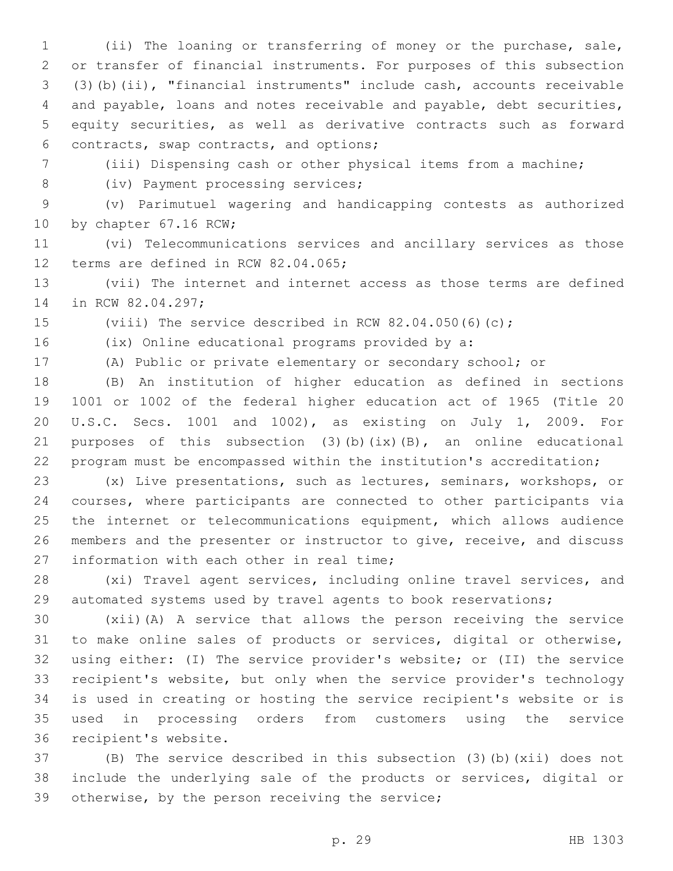(ii) The loaning or transferring of money or the purchase, sale, or transfer of financial instruments. For purposes of this subsection (3)(b)(ii), "financial instruments" include cash, accounts receivable and payable, loans and notes receivable and payable, debt securities, equity securities, as well as derivative contracts such as forward contracts, swap contracts, and options;6

(iii) Dispensing cash or other physical items from a machine;

8 (iv) Payment processing services;

 (v) Parimutuel wagering and handicapping contests as authorized 10 by chapter 67.16 RCW;

 (vi) Telecommunications services and ancillary services as those 12 terms are defined in RCW 82.04.065;

 (vii) The internet and internet access as those terms are defined 14 in RCW 82.04.297;

(viii) The service described in RCW 82.04.050(6)(c);

(ix) Online educational programs provided by a:

(A) Public or private elementary or secondary school; or

 (B) An institution of higher education as defined in sections 1001 or 1002 of the federal higher education act of 1965 (Title 20 U.S.C. Secs. 1001 and 1002), as existing on July 1, 2009. For 21 purposes of this subsection  $(3)$  (b)  $(ix)$  (B), an online educational program must be encompassed within the institution's accreditation;

 (x) Live presentations, such as lectures, seminars, workshops, or courses, where participants are connected to other participants via the internet or telecommunications equipment, which allows audience members and the presenter or instructor to give, receive, and discuss 27 information with each other in real time;

 (xi) Travel agent services, including online travel services, and automated systems used by travel agents to book reservations;

 (xii)(A) A service that allows the person receiving the service to make online sales of products or services, digital or otherwise, using either: (I) The service provider's website; or (II) the service recipient's website, but only when the service provider's technology is used in creating or hosting the service recipient's website or is used in processing orders from customers using the service 36 recipient's website.

 (B) The service described in this subsection (3)(b)(xii) does not include the underlying sale of the products or services, digital or 39 otherwise, by the person receiving the service;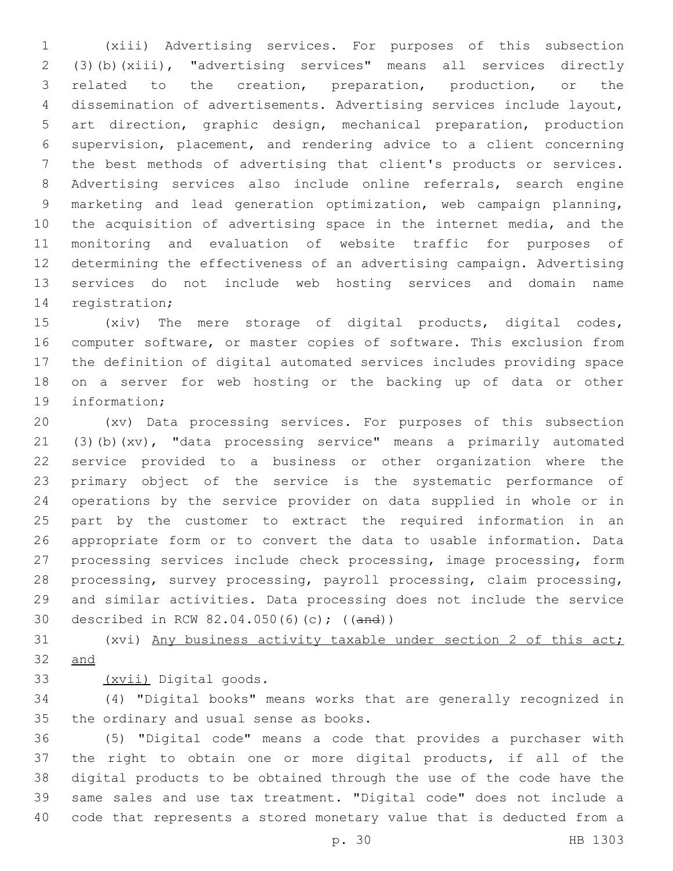(xiii) Advertising services. For purposes of this subsection (3)(b)(xiii), "advertising services" means all services directly related to the creation, preparation, production, or the dissemination of advertisements. Advertising services include layout, art direction, graphic design, mechanical preparation, production supervision, placement, and rendering advice to a client concerning the best methods of advertising that client's products or services. Advertising services also include online referrals, search engine marketing and lead generation optimization, web campaign planning, the acquisition of advertising space in the internet media, and the monitoring and evaluation of website traffic for purposes of determining the effectiveness of an advertising campaign. Advertising services do not include web hosting services and domain name 14 registration;

 (xiv) The mere storage of digital products, digital codes, computer software, or master copies of software. This exclusion from the definition of digital automated services includes providing space on a server for web hosting or the backing up of data or other 19 information;

 (xv) Data processing services. For purposes of this subsection (3)(b)(xv), "data processing service" means a primarily automated service provided to a business or other organization where the primary object of the service is the systematic performance of operations by the service provider on data supplied in whole or in part by the customer to extract the required information in an appropriate form or to convert the data to usable information. Data processing services include check processing, image processing, form processing, survey processing, payroll processing, claim processing, and similar activities. Data processing does not include the service described in RCW 82.04.050(6)(c); ((and))

 (xvi) Any business activity taxable under section 2 of this act; and

33 (xvii) Digital goods.

 (4) "Digital books" means works that are generally recognized in 35 the ordinary and usual sense as books.

 (5) "Digital code" means a code that provides a purchaser with the right to obtain one or more digital products, if all of the digital products to be obtained through the use of the code have the same sales and use tax treatment. "Digital code" does not include a code that represents a stored monetary value that is deducted from a

p. 30 HB 1303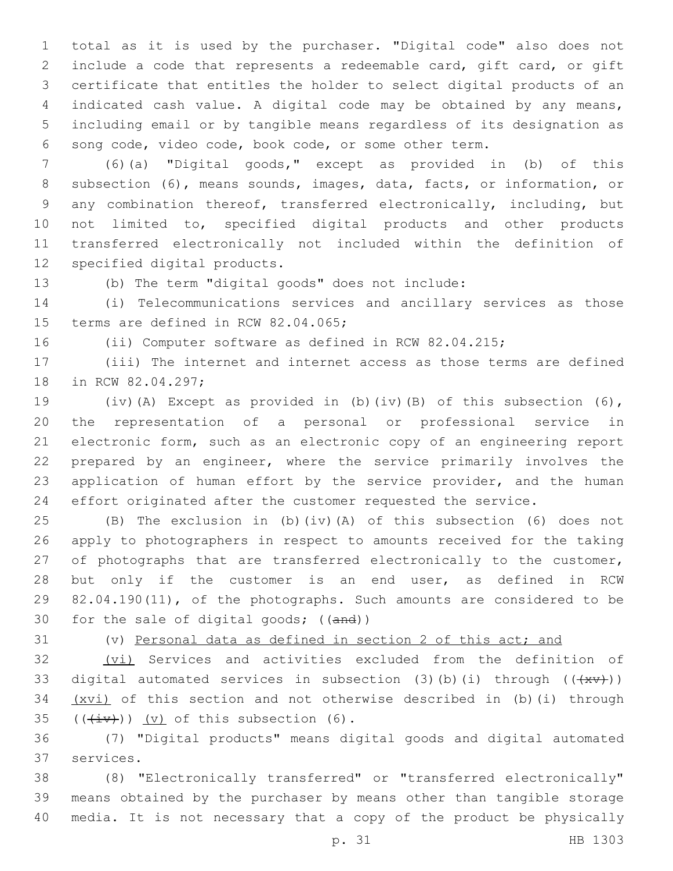total as it is used by the purchaser. "Digital code" also does not include a code that represents a redeemable card, gift card, or gift certificate that entitles the holder to select digital products of an indicated cash value. A digital code may be obtained by any means, including email or by tangible means regardless of its designation as song code, video code, book code, or some other term.

 (6)(a) "Digital goods," except as provided in (b) of this subsection (6), means sounds, images, data, facts, or information, or any combination thereof, transferred electronically, including, but not limited to, specified digital products and other products transferred electronically not included within the definition of 12 specified digital products.

(b) The term "digital goods" does not include:

 (i) Telecommunications services and ancillary services as those 15 terms are defined in RCW 82.04.065;

(ii) Computer software as defined in RCW 82.04.215;

 (iii) The internet and internet access as those terms are defined 18 in RCW 82.04.297;

 (iv)(A) Except as provided in (b)(iv)(B) of this subsection (6), the representation of a personal or professional service in electronic form, such as an electronic copy of an engineering report prepared by an engineer, where the service primarily involves the application of human effort by the service provider, and the human effort originated after the customer requested the service.

 (B) The exclusion in (b)(iv)(A) of this subsection (6) does not apply to photographers in respect to amounts received for the taking 27 of photographs that are transferred electronically to the customer, but only if the customer is an end user, as defined in RCW 82.04.190(11), of the photographs. Such amounts are considered to be 30 for the sale of digital goods; ((and))

(v) Personal data as defined in section 2 of this act; and

32 (vi) Services and activities excluded from the definition of 33 digital automated services in subsection (3)(b)(i) through  $((+xy))$  (xvi) of this section and not otherwise described in (b)(i) through  $($  (( $\overleftrightarrow{iv}$ )) (v) of this subsection (6).

 (7) "Digital products" means digital goods and digital automated 37 services.

 (8) "Electronically transferred" or "transferred electronically" means obtained by the purchaser by means other than tangible storage media. It is not necessary that a copy of the product be physically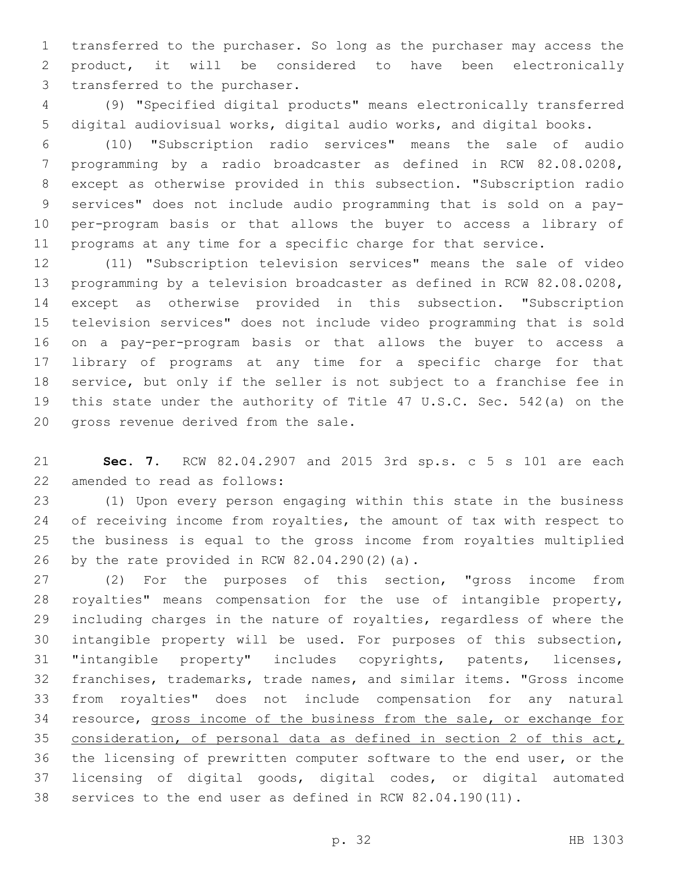transferred to the purchaser. So long as the purchaser may access the product, it will be considered to have been electronically 3 transferred to the purchaser.

 (9) "Specified digital products" means electronically transferred digital audiovisual works, digital audio works, and digital books.

 (10) "Subscription radio services" means the sale of audio programming by a radio broadcaster as defined in RCW 82.08.0208, except as otherwise provided in this subsection. "Subscription radio services" does not include audio programming that is sold on a pay- per-program basis or that allows the buyer to access a library of programs at any time for a specific charge for that service.

 (11) "Subscription television services" means the sale of video programming by a television broadcaster as defined in RCW 82.08.0208, except as otherwise provided in this subsection. "Subscription television services" does not include video programming that is sold on a pay-per-program basis or that allows the buyer to access a library of programs at any time for a specific charge for that service, but only if the seller is not subject to a franchise fee in this state under the authority of Title 47 U.S.C. Sec. 542(a) on the 20 gross revenue derived from the sale.

 **Sec. 7.** RCW 82.04.2907 and 2015 3rd sp.s. c 5 s 101 are each 22 amended to read as follows:

 (1) Upon every person engaging within this state in the business of receiving income from royalties, the amount of tax with respect to the business is equal to the gross income from royalties multiplied 26 by the rate provided in RCW  $82.04.290(2)(a)$ .

 (2) For the purposes of this section, "gross income from royalties" means compensation for the use of intangible property, including charges in the nature of royalties, regardless of where the intangible property will be used. For purposes of this subsection, "intangible property" includes copyrights, patents, licenses, franchises, trademarks, trade names, and similar items. "Gross income from royalties" does not include compensation for any natural resource, gross income of the business from the sale, or exchange for consideration, of personal data as defined in section 2 of this act, the licensing of prewritten computer software to the end user, or the licensing of digital goods, digital codes, or digital automated services to the end user as defined in RCW 82.04.190(11).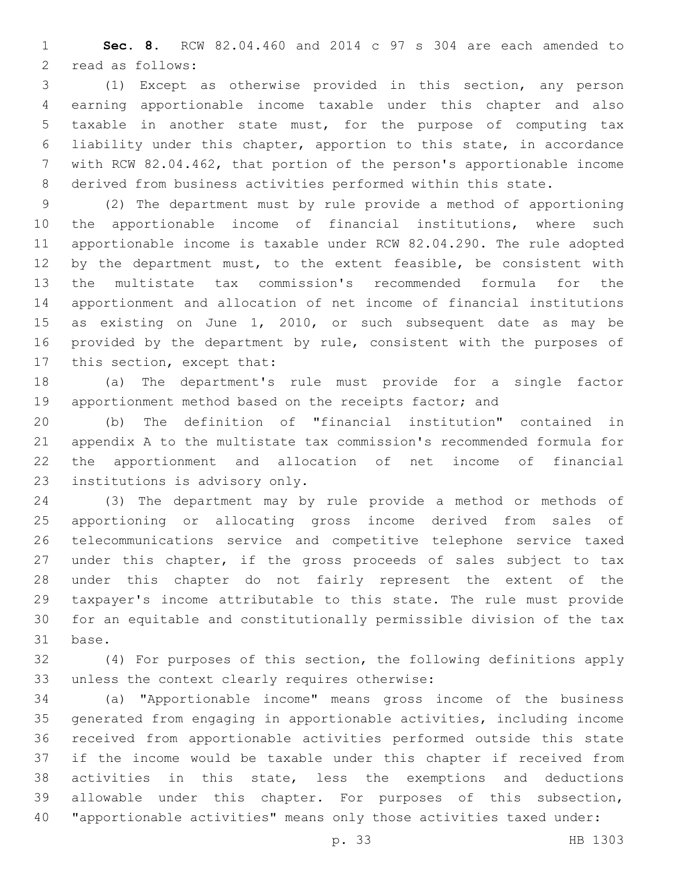**Sec. 8.** RCW 82.04.460 and 2014 c 97 s 304 are each amended to 2 read as follows:

 (1) Except as otherwise provided in this section, any person earning apportionable income taxable under this chapter and also taxable in another state must, for the purpose of computing tax liability under this chapter, apportion to this state, in accordance with RCW 82.04.462, that portion of the person's apportionable income derived from business activities performed within this state.

 (2) The department must by rule provide a method of apportioning the apportionable income of financial institutions, where such apportionable income is taxable under RCW 82.04.290. The rule adopted 12 by the department must, to the extent feasible, be consistent with the multistate tax commission's recommended formula for the apportionment and allocation of net income of financial institutions as existing on June 1, 2010, or such subsequent date as may be provided by the department by rule, consistent with the purposes of 17 this section, except that:

 (a) The department's rule must provide for a single factor apportionment method based on the receipts factor; and

 (b) The definition of "financial institution" contained in appendix A to the multistate tax commission's recommended formula for the apportionment and allocation of net income of financial 23 institutions is advisory only.

 (3) The department may by rule provide a method or methods of apportioning or allocating gross income derived from sales of telecommunications service and competitive telephone service taxed under this chapter, if the gross proceeds of sales subject to tax under this chapter do not fairly represent the extent of the taxpayer's income attributable to this state. The rule must provide for an equitable and constitutionally permissible division of the tax 31 base.

 (4) For purposes of this section, the following definitions apply 33 unless the context clearly requires otherwise:

 (a) "Apportionable income" means gross income of the business generated from engaging in apportionable activities, including income received from apportionable activities performed outside this state if the income would be taxable under this chapter if received from activities in this state, less the exemptions and deductions allowable under this chapter. For purposes of this subsection, "apportionable activities" means only those activities taxed under: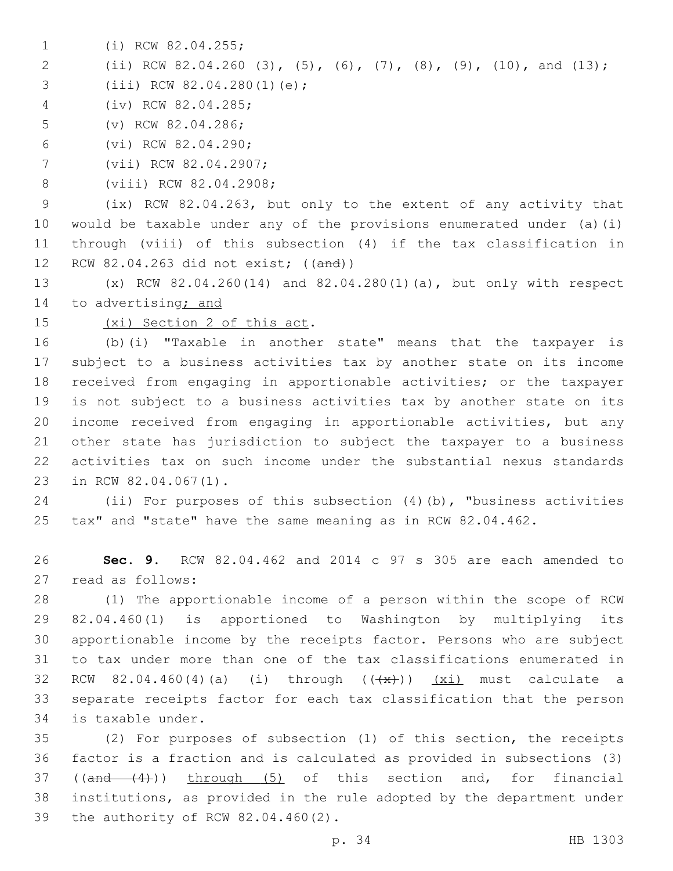1 (i) RCW 82.04.255;

2 (ii) RCW 82.04.260 (3), (5), (6), (7), (8), (9), (10), and (13);

3 (iii) RCW 82.04.280(1)(e);

(iv) RCW 82.04.285;4

5 (v) RCW 82.04.286;

(vi) RCW 82.04.290;6

7 (vii) RCW 82.04.2907;

8 (viii) RCW 82.04.2908;

 (ix) RCW 82.04.263, but only to the extent of any activity that would be taxable under any of the provisions enumerated under (a)(i) through (viii) of this subsection (4) if the tax classification in RCW 82.04.263 did not exist; ((and))

13 (x) RCW 82.04.260(14) and 82.04.280(1)(a), but only with respect 14 to advertising; and

15 (xi) Section 2 of this act.

 (b)(i) "Taxable in another state" means that the taxpayer is subject to a business activities tax by another state on its income received from engaging in apportionable activities; or the taxpayer is not subject to a business activities tax by another state on its income received from engaging in apportionable activities, but any other state has jurisdiction to subject the taxpayer to a business activities tax on such income under the substantial nexus standards 23 in RCW 82.04.067(1).

24 (ii) For purposes of this subsection (4)(b), "business activities 25 tax" and "state" have the same meaning as in RCW 82.04.462.

26 **Sec. 9.** RCW 82.04.462 and 2014 c 97 s 305 are each amended to 27 read as follows:

 (1) The apportionable income of a person within the scope of RCW 82.04.460(1) is apportioned to Washington by multiplying its apportionable income by the receipts factor. Persons who are subject to tax under more than one of the tax classifications enumerated in 32 RCW 82.04.460(4)(a) (i) through  $((+x))$   $(xi)$  must calculate a separate receipts factor for each tax classification that the person 34 is taxable under.

35 (2) For purposes of subsection (1) of this section, the receipts 36 factor is a fraction and is calculated as provided in subsections (3) 37 ((and (4))) through (5) of this section and, for financial 38 institutions, as provided in the rule adopted by the department under 39 the authority of RCW 82.04.460(2).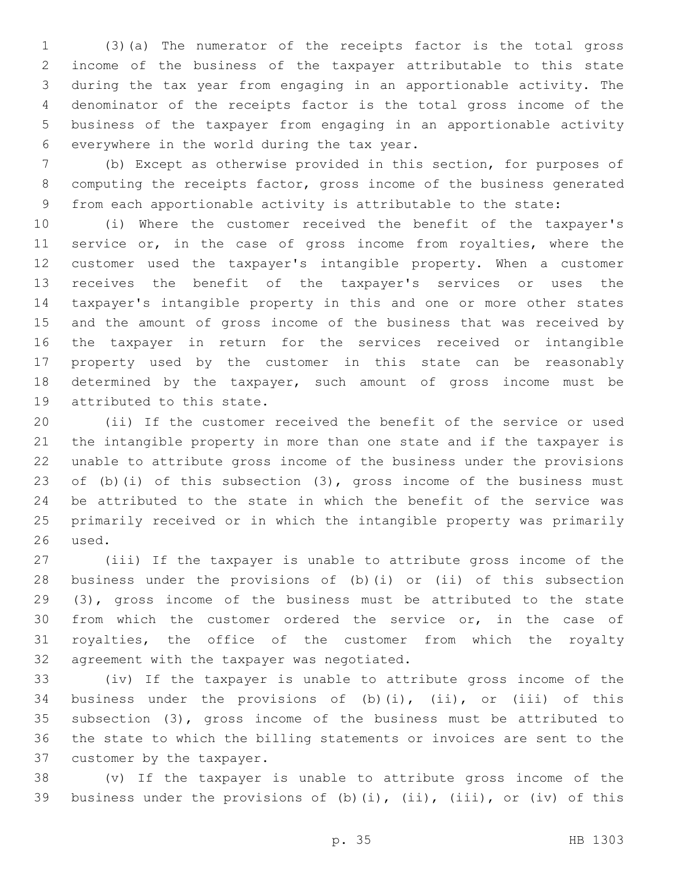(3)(a) The numerator of the receipts factor is the total gross income of the business of the taxpayer attributable to this state during the tax year from engaging in an apportionable activity. The denominator of the receipts factor is the total gross income of the business of the taxpayer from engaging in an apportionable activity 6 everywhere in the world during the tax year.

 (b) Except as otherwise provided in this section, for purposes of computing the receipts factor, gross income of the business generated from each apportionable activity is attributable to the state:

 (i) Where the customer received the benefit of the taxpayer's 11 service or, in the case of gross income from royalties, where the customer used the taxpayer's intangible property. When a customer receives the benefit of the taxpayer's services or uses the taxpayer's intangible property in this and one or more other states and the amount of gross income of the business that was received by the taxpayer in return for the services received or intangible property used by the customer in this state can be reasonably determined by the taxpayer, such amount of gross income must be 19 attributed to this state.

 (ii) If the customer received the benefit of the service or used the intangible property in more than one state and if the taxpayer is unable to attribute gross income of the business under the provisions of (b)(i) of this subsection (3), gross income of the business must be attributed to the state in which the benefit of the service was primarily received or in which the intangible property was primarily 26 used.

 (iii) If the taxpayer is unable to attribute gross income of the business under the provisions of (b)(i) or (ii) of this subsection (3), gross income of the business must be attributed to the state from which the customer ordered the service or, in the case of royalties, the office of the customer from which the royalty 32 agreement with the taxpayer was negotiated.

 (iv) If the taxpayer is unable to attribute gross income of the business under the provisions of (b)(i), (ii), or (iii) of this subsection (3), gross income of the business must be attributed to the state to which the billing statements or invoices are sent to the 37 customer by the taxpayer.

 (v) If the taxpayer is unable to attribute gross income of the business under the provisions of (b)(i), (ii), (iii), or (iv) of this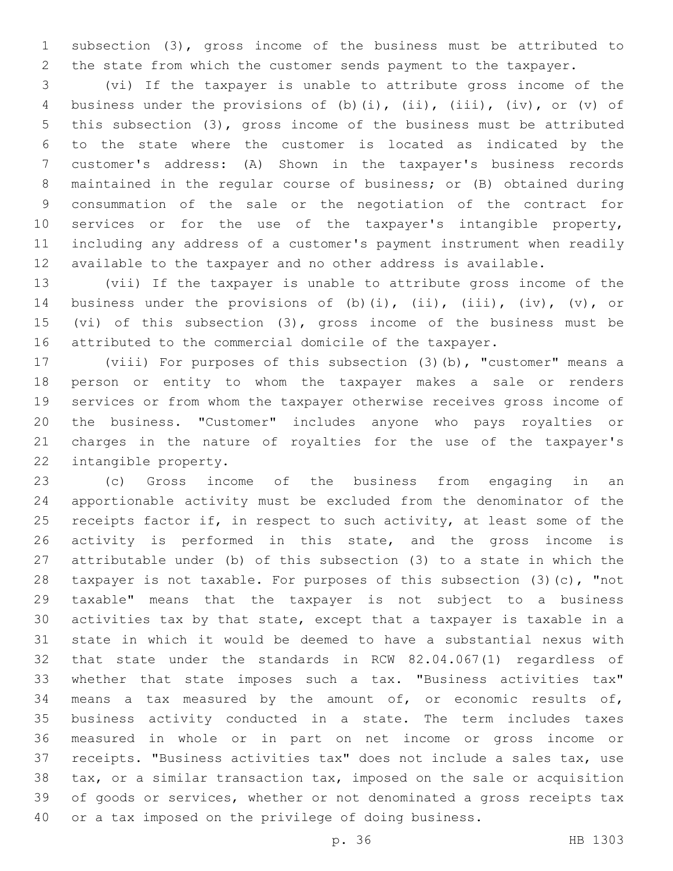subsection (3), gross income of the business must be attributed to the state from which the customer sends payment to the taxpayer.

 (vi) If the taxpayer is unable to attribute gross income of the 4 business under the provisions of (b)(i), (ii), (iii), (iv), or (v) of this subsection (3), gross income of the business must be attributed to the state where the customer is located as indicated by the customer's address: (A) Shown in the taxpayer's business records maintained in the regular course of business; or (B) obtained during consummation of the sale or the negotiation of the contract for services or for the use of the taxpayer's intangible property, including any address of a customer's payment instrument when readily available to the taxpayer and no other address is available.

 (vii) If the taxpayer is unable to attribute gross income of the 14 business under the provisions of (b)(i), (ii), (iii), (iv), (v), or (vi) of this subsection (3), gross income of the business must be attributed to the commercial domicile of the taxpayer.

 (viii) For purposes of this subsection (3)(b), "customer" means a person or entity to whom the taxpayer makes a sale or renders services or from whom the taxpayer otherwise receives gross income of the business. "Customer" includes anyone who pays royalties or charges in the nature of royalties for the use of the taxpayer's 22 intangible property.

 (c) Gross income of the business from engaging in an apportionable activity must be excluded from the denominator of the 25 receipts factor if, in respect to such activity, at least some of the activity is performed in this state, and the gross income is attributable under (b) of this subsection (3) to a state in which the taxpayer is not taxable. For purposes of this subsection (3)(c), "not taxable" means that the taxpayer is not subject to a business activities tax by that state, except that a taxpayer is taxable in a state in which it would be deemed to have a substantial nexus with that state under the standards in RCW 82.04.067(1) regardless of whether that state imposes such a tax. "Business activities tax" means a tax measured by the amount of, or economic results of, business activity conducted in a state. The term includes taxes measured in whole or in part on net income or gross income or receipts. "Business activities tax" does not include a sales tax, use tax, or a similar transaction tax, imposed on the sale or acquisition of goods or services, whether or not denominated a gross receipts tax or a tax imposed on the privilege of doing business.

p. 36 HB 1303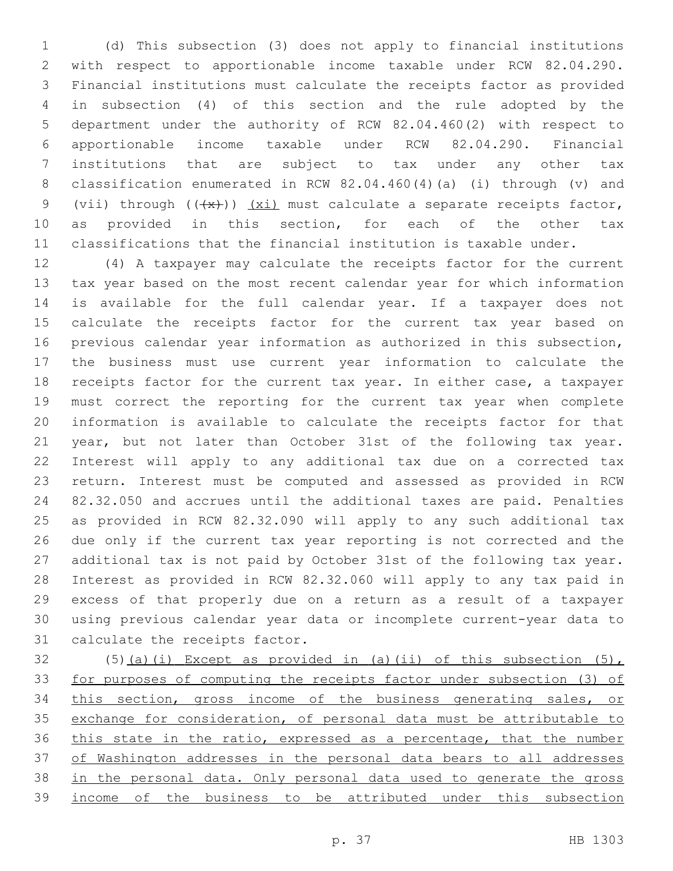(d) This subsection (3) does not apply to financial institutions with respect to apportionable income taxable under RCW 82.04.290. Financial institutions must calculate the receipts factor as provided in subsection (4) of this section and the rule adopted by the department under the authority of RCW 82.04.460(2) with respect to apportionable income taxable under RCW 82.04.290. Financial institutions that are subject to tax under any other tax classification enumerated in RCW 82.04.460(4)(a) (i) through (v) and 9 (vii) through  $((+x))$   $(xi)$  must calculate a separate receipts factor, as provided in this section, for each of the other tax classifications that the financial institution is taxable under.

 (4) A taxpayer may calculate the receipts factor for the current tax year based on the most recent calendar year for which information is available for the full calendar year. If a taxpayer does not calculate the receipts factor for the current tax year based on previous calendar year information as authorized in this subsection, the business must use current year information to calculate the receipts factor for the current tax year. In either case, a taxpayer must correct the reporting for the current tax year when complete information is available to calculate the receipts factor for that year, but not later than October 31st of the following tax year. Interest will apply to any additional tax due on a corrected tax return. Interest must be computed and assessed as provided in RCW 82.32.050 and accrues until the additional taxes are paid. Penalties as provided in RCW 82.32.090 will apply to any such additional tax due only if the current tax year reporting is not corrected and the additional tax is not paid by October 31st of the following tax year. Interest as provided in RCW 82.32.060 will apply to any tax paid in excess of that properly due on a return as a result of a taxpayer using previous calendar year data or incomplete current-year data to 31 calculate the receipts factor.

 (5)(a)(i) Except as provided in (a)(ii) of this subsection (5), for purposes of computing the receipts factor under subsection (3) of this section, gross income of the business generating sales, or exchange for consideration, of personal data must be attributable to this state in the ratio, expressed as a percentage, that the number of Washington addresses in the personal data bears to all addresses in the personal data. Only personal data used to generate the gross income of the business to be attributed under this subsection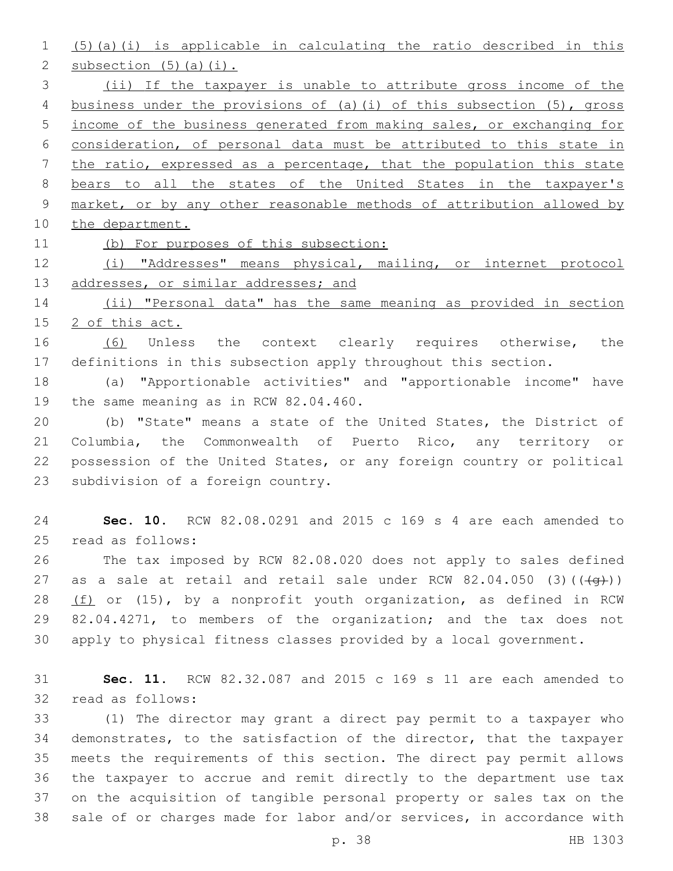(5)(a)(i) is applicable in calculating the ratio described in this 2 subsection  $(5)$   $(a)$   $(i)$ . (ii) If the taxpayer is unable to attribute gross income of the business under the provisions of (a)(i) of this subsection (5), gross income of the business generated from making sales, or exchanging for consideration, of personal data must be attributed to this state in the ratio, expressed as a percentage, that the population this state bears to all the states of the United States in the taxpayer's market, or by any other reasonable methods of attribution allowed by 10 the department.

(b) For purposes of this subsection:

 (i) "Addresses" means physical, mailing, or internet protocol 13 addresses, or similar addresses; and

 (ii) "Personal data" has the same meaning as provided in section 2 of this act.

16 (6) Unless the context clearly requires otherwise, the definitions in this subsection apply throughout this section.

 (a) "Apportionable activities" and "apportionable income" have 19 the same meaning as in RCW 82.04.460.

 (b) "State" means a state of the United States, the District of Columbia, the Commonwealth of Puerto Rico, any territory or possession of the United States, or any foreign country or political 23 subdivision of a foreign country.

 **Sec. 10.** RCW 82.08.0291 and 2015 c 169 s 4 are each amended to 25 read as follows:

 The tax imposed by RCW 82.08.020 does not apply to sales defined 27 as a sale at retail and retail sale under RCW  $82.04.050$  (3)( $(\frac{49}{})$ ) (f) or (15), by a nonprofit youth organization, as defined in RCW 82.04.4271, to members of the organization; and the tax does not apply to physical fitness classes provided by a local government.

 **Sec. 11.** RCW 82.32.087 and 2015 c 169 s 11 are each amended to 32 read as follows:

 (1) The director may grant a direct pay permit to a taxpayer who demonstrates, to the satisfaction of the director, that the taxpayer meets the requirements of this section. The direct pay permit allows the taxpayer to accrue and remit directly to the department use tax on the acquisition of tangible personal property or sales tax on the sale of or charges made for labor and/or services, in accordance with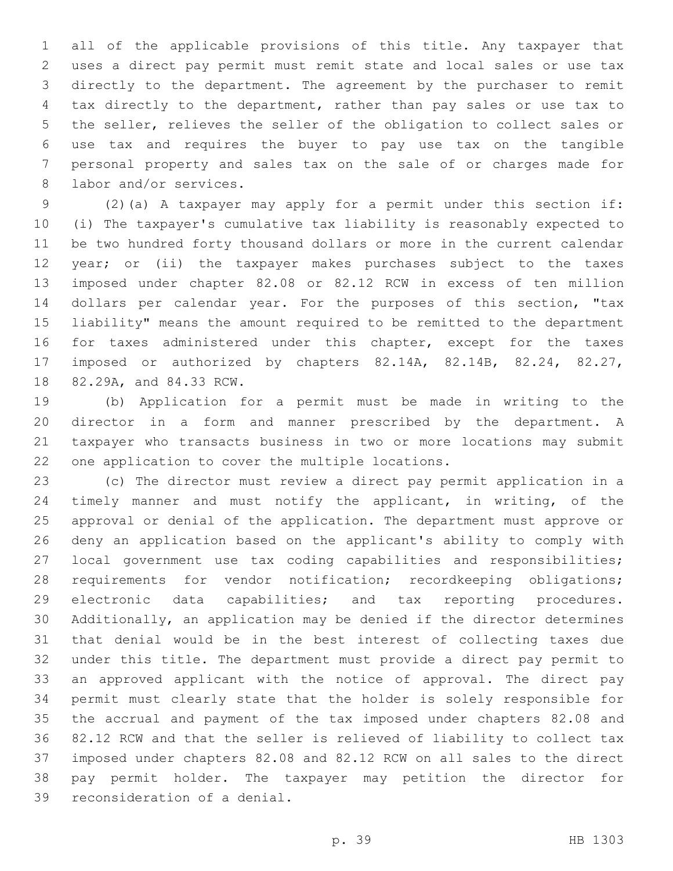all of the applicable provisions of this title. Any taxpayer that uses a direct pay permit must remit state and local sales or use tax directly to the department. The agreement by the purchaser to remit tax directly to the department, rather than pay sales or use tax to the seller, relieves the seller of the obligation to collect sales or use tax and requires the buyer to pay use tax on the tangible personal property and sales tax on the sale of or charges made for 8 labor and/or services.

 (2)(a) A taxpayer may apply for a permit under this section if: (i) The taxpayer's cumulative tax liability is reasonably expected to be two hundred forty thousand dollars or more in the current calendar year; or (ii) the taxpayer makes purchases subject to the taxes imposed under chapter 82.08 or 82.12 RCW in excess of ten million dollars per calendar year. For the purposes of this section, "tax liability" means the amount required to be remitted to the department 16 for taxes administered under this chapter, except for the taxes imposed or authorized by chapters 82.14A, 82.14B, 82.24, 82.27, 18 82.29A, and 84.33 RCW.

 (b) Application for a permit must be made in writing to the director in a form and manner prescribed by the department. A taxpayer who transacts business in two or more locations may submit 22 one application to cover the multiple locations.

 (c) The director must review a direct pay permit application in a timely manner and must notify the applicant, in writing, of the approval or denial of the application. The department must approve or deny an application based on the applicant's ability to comply with 27 local government use tax coding capabilities and responsibilities; 28 requirements for vendor notification; recordkeeping obligations; 29 electronic data capabilities; and tax reporting procedures. Additionally, an application may be denied if the director determines that denial would be in the best interest of collecting taxes due under this title. The department must provide a direct pay permit to an approved applicant with the notice of approval. The direct pay permit must clearly state that the holder is solely responsible for the accrual and payment of the tax imposed under chapters 82.08 and 82.12 RCW and that the seller is relieved of liability to collect tax imposed under chapters 82.08 and 82.12 RCW on all sales to the direct pay permit holder. The taxpayer may petition the director for 39 reconsideration of a denial.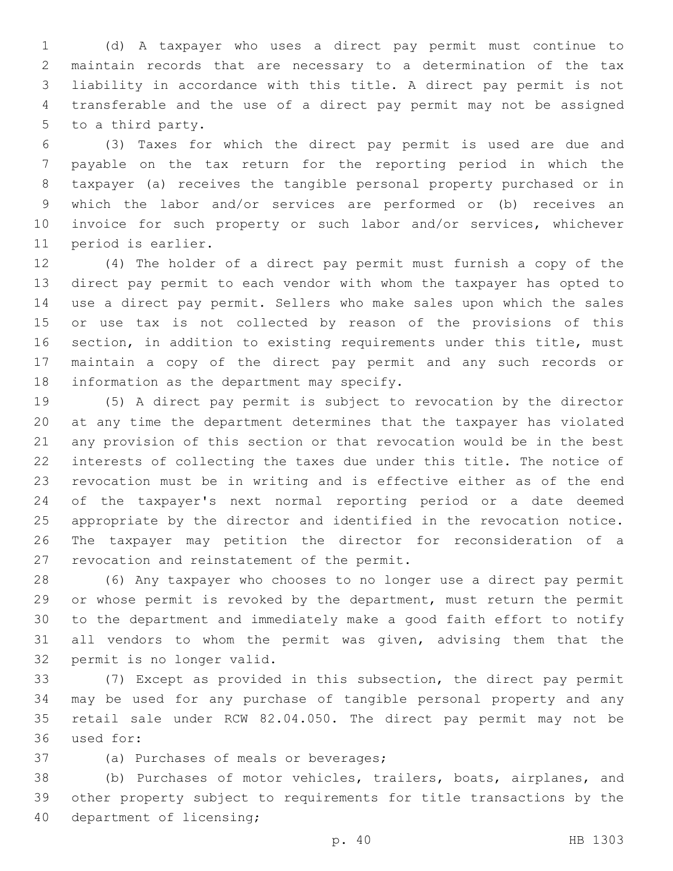(d) A taxpayer who uses a direct pay permit must continue to maintain records that are necessary to a determination of the tax liability in accordance with this title. A direct pay permit is not transferable and the use of a direct pay permit may not be assigned 5 to a third party.

 (3) Taxes for which the direct pay permit is used are due and payable on the tax return for the reporting period in which the taxpayer (a) receives the tangible personal property purchased or in which the labor and/or services are performed or (b) receives an invoice for such property or such labor and/or services, whichever 11 period is earlier.

 (4) The holder of a direct pay permit must furnish a copy of the direct pay permit to each vendor with whom the taxpayer has opted to use a direct pay permit. Sellers who make sales upon which the sales or use tax is not collected by reason of the provisions of this section, in addition to existing requirements under this title, must maintain a copy of the direct pay permit and any such records or 18 information as the department may specify.

 (5) A direct pay permit is subject to revocation by the director at any time the department determines that the taxpayer has violated any provision of this section or that revocation would be in the best interests of collecting the taxes due under this title. The notice of revocation must be in writing and is effective either as of the end of the taxpayer's next normal reporting period or a date deemed appropriate by the director and identified in the revocation notice. The taxpayer may petition the director for reconsideration of a 27 revocation and reinstatement of the permit.

 (6) Any taxpayer who chooses to no longer use a direct pay permit or whose permit is revoked by the department, must return the permit to the department and immediately make a good faith effort to notify all vendors to whom the permit was given, advising them that the 32 permit is no longer valid.

 (7) Except as provided in this subsection, the direct pay permit may be used for any purchase of tangible personal property and any retail sale under RCW 82.04.050. The direct pay permit may not be 36 used for:

37 (a) Purchases of meals or beverages;

 (b) Purchases of motor vehicles, trailers, boats, airplanes, and other property subject to requirements for title transactions by the 40 department of licensing;